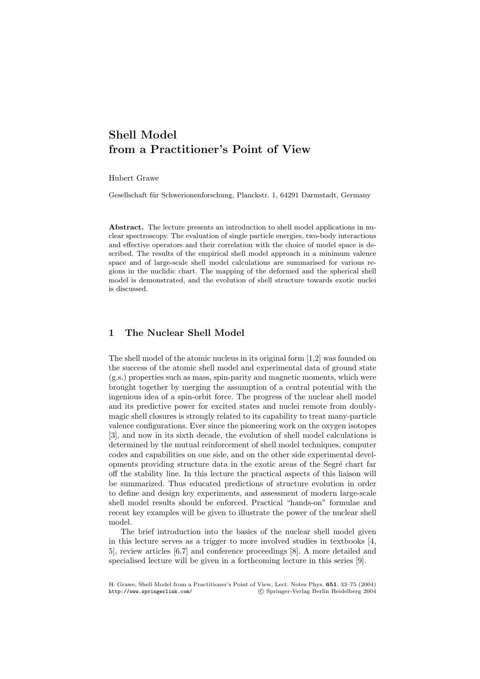# **Shell Model from a Practitioner's Point of View**

Hubert Grawe

Gesellschaft für Schwerionenforschung, Planckstr. 1, 64291 Darmstadt, Germany

**Abstract.** The lecture presents an introduction to shell model applications in nuclear spectroscopy. The evaluation of single particle energies, two-body interactions and effective operators and their correlation with the choice of model space is described. The results of the empirical shell model approach in a minimum valence space and of large-scale shell model calculations are summarised for various regions in the nuclidic chart. The mapping of the deformed and the spherical shell model is demonstrated, and the evolution of shell structure towards exotic nuclei is discussed.

# **1 The Nuclear Shell Model**

The shell model of the atomic nucleus in its original form [1,2] was founded on the success of the atomic shell model and experimental data of ground state (g.s.) properties such as mass, spin-parity and magnetic moments, which were brought together by merging the assumption of a central potential with the ingenious idea of a spin-orbit force. The progress of the nuclear shell model and its predictive power for excited states and nuclei remote from doublymagic shell closures is strongly related to its capability to treat many-particle valence configurations. Ever since the pioneering work on the oxygen isotopes [3], and now in its sixth decade, the evolution of shell model calculations is determined by the mutual reinforcement of shell model techniques, computer codes and capabilities on one side, and on the other side experimental developments providing structure data in the exotic areas of the Segré chart far off the stability line. In this lecture the practical aspects of this liaison will be summarized. Thus educated predictions of structure evolution in order to define and design key experiments, and assessment of modern large-scale shell model results should be enforced. Practical "hands-on" formulae and recent key examples will be given to illustrate the power of the nuclear shell model.

The brief introduction into the basics of the nuclear shell model given in this lecture serves as a trigger to more involved studies in textbooks [4, 5], review articles [6,7] and conference proceedings [8]. A more detailed and specialised lecture will be given in a forthcoming lecture in this series [9].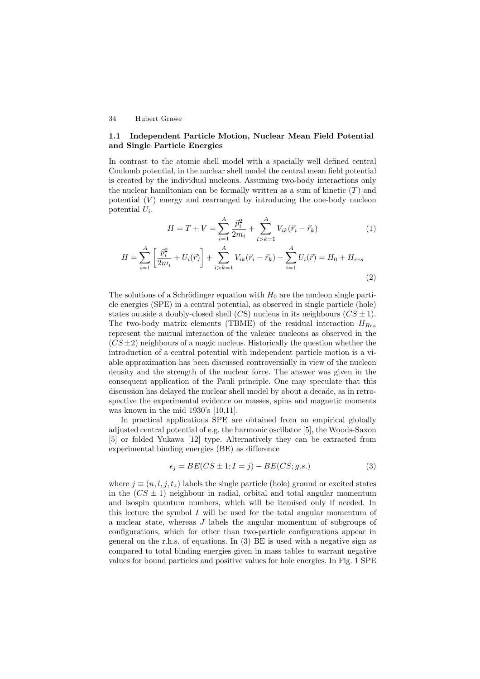### **1.1 Independent Particle Motion, Nuclear Mean Field Potential and Single Particle Energies**

In contrast to the atomic shell model with a spacially well defined central Coulomb potential, in the nuclear shell model the central mean field potential is created by the individual nucleons. Assuming two-body interactions only the nuclear hamiltonian can be formally written as a sum of kinetic  $(T)$  and potential  $(V)$  energy and rearranged by introducing the one-body nucleon potential  $U_i$ .

$$
H = T + V = \sum_{i=1}^{A} \frac{\vec{p}_i^2}{2m_i} + \sum_{i>k=1}^{A} V_{ik}(\vec{r}_i - \vec{r}_k)
$$
(1)

$$
H = \sum_{i=1}^{A} \left[ \frac{\vec{p}_i^2}{2m_i} + U_i(\vec{r}) \right] + \sum_{i > k=1}^{A} V_{ik}(\vec{r}_i - \vec{r}_k) - \sum_{i=1}^{A} U_i(\vec{r}) = H_0 + H_{res}
$$
\n(2)

The solutions of a Schrödinger equation with  $H_0$  are the nucleon single particle energies (SPE) in a central potential, as observed in single particle (hole) states outside a doubly-closed shell (CS) nucleus in its neighbours  $(CS \pm 1)$ . The two-body matrix elements (TBME) of the residual interaction  $H_{Res}$ represent the mutual interaction of the valence nucleons as observed in the  $(CS\pm2)$  neighbours of a magic nucleus. Historically the question whether the introduction of a central potential with independent particle motion is a viable approximation has been discussed controversially in view of the nucleon density and the strength of the nuclear force. The answer was given in the consequent application of the Pauli principle. One may speculate that this discussion has delayed the nuclear shell model by about a decade, as in retrospective the experimental evidence on masses, spins and magnetic moments was known in the mid 1930's [10,11].

In practical applications SPE are obtained from an empirical globally adjusted central potential of e.g. the harmonic oscillator [5], the Woods-Saxon [5] or folded Yukawa [12] type. Alternatively they can be extracted from experimental binding energies (BE) as difference

$$
\epsilon_j = BE(CS \pm 1; I = j) - BE(CS; g.s.)\tag{3}
$$

where  $j \equiv (n, l, j, t_z)$  labels the single particle (hole) ground or excited states in the  $(CS \pm 1)$  neighbour in radial, orbital and total angular momentum and isospin quantum numbers, which will be itemised only if needed. In this lecture the symbol  $I$  will be used for the total angular momentum of a nuclear state, whereas J labels the angular momentum of subgroups of configurations, which for other than two-particle configurations appear in general on the r.h.s. of equations. In (3) BE is used with a negative sign as compared to total binding energies given in mass tables to warrant negative values for bound particles and positive values for hole energies. In Fig. 1 SPE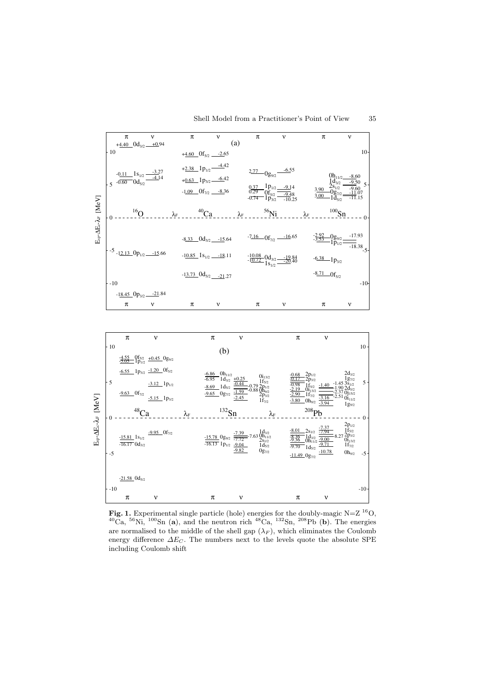

**Fig. 1.** Experimental single particle (hole) energies for the doubly-magic  $N=Z^{16}O$ ,  ${}^{40}Ca$ ,  ${}^{56}Ni$ ,  ${}^{100}Sn$  (a), and the neutron rich  ${}^{48}Ca$ ,  ${}^{132}Sn$ ,  ${}^{208}Pb$  (b). The energies are normalised to the middle of the shell gap  $(\lambda_F)$ , which eliminates the Coulomb energy difference  $\Delta E_C$ . The numbers next to the levels quote the absolute SPE including Coulomb shift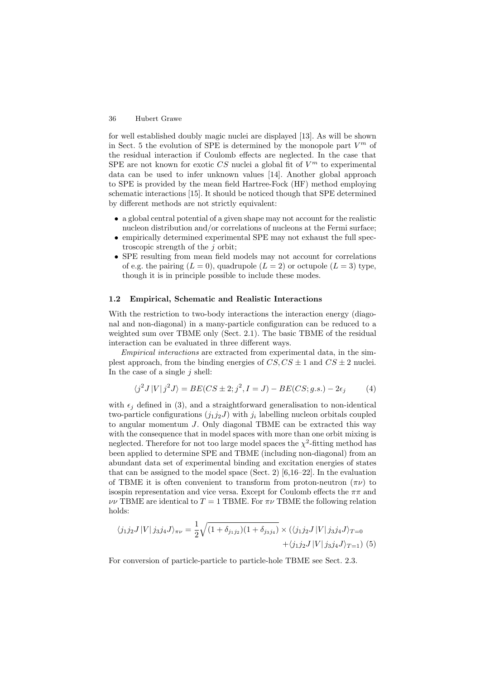for well established doubly magic nuclei are displayed [13]. As will be shown in Sect. 5 the evolution of SPE is determined by the monopole part  $V^m$  of the residual interaction if Coulomb effects are neglected. In the case that SPE are not known for exotic CS nuclei a global fit of  $V^m$  to experimental data can be used to infer unknown values [14]. Another global approach to SPE is provided by the mean field Hartree-Fock (HF) method employing schematic interactions [15]. It should be noticed though that SPE determined by different methods are not strictly equivalent:

- a global central potential of a given shape may not account for the realistic nucleon distribution and/or correlations of nucleons at the Fermi surface;
- empirically determined experimental SPE may not exhaust the full spectroscopic strength of the j orbit;
- SPE resulting from mean field models may not account for correlations of e.g. the pairing  $(L = 0)$ , quadrupole  $(L = 2)$  or octupole  $(L = 3)$  type, though it is in principle possible to include these modes.

### **1.2 Empirical, Schematic and Realistic Interactions**

With the restriction to two-body interactions the interaction energy (diagonal and non-diagonal) in a many-particle configuration can be reduced to a weighted sum over TBME only (Sect. 2.1). The basic TBME of the residual interaction can be evaluated in three different ways.

*Empirical interactions* are extracted from experimental data, in the simplest approach, from the binding energies of  $CS, CS \pm 1$  and  $CS \pm 2$  nuclei. In the case of a single  $j$  shell:

$$
\langle j^2 J |V| j^2 J \rangle = BE(CS \pm 2; j^2, I = J) - BE(CS; g.s.) - 2\epsilon_j \tag{4}
$$

with  $\epsilon_i$  defined in (3), and a straightforward generalisation to non-identical two-particle configurations  $(j_1j_2J)$  with  $j_i$  labelling nucleon orbitals coupled to angular momentum J. Only diagonal TBME can be extracted this way with the consequence that in model spaces with more than one orbit mixing is neglected. Therefore for not too large model spaces the  $\chi^2$ -fitting method has been applied to determine SPE and TBME (including non-diagonal) from an abundant data set of experimental binding and excitation energies of states that can be assigned to the model space (Sect. 2) [6,16–22]. In the evaluation of TBME it is often convenient to transform from proton-neutron  $(\pi \nu)$  to isospin representation and vice versa. Except for Coulomb effects the  $\pi\pi$  and  $\nu\nu$  TBME are identical to  $T = 1$  TBME. For  $\pi\nu$  TBME the following relation holds:

$$
\langle j_1 j_2 J \, |V| \, j_3 j_4 J \rangle_{\pi\nu} = \frac{1}{2} \sqrt{(1 + \delta_{j_1 j_2})(1 + \delta_{j_3 j_4})} \times (\langle j_1 j_2 J \, |V| \, j_3 j_4 J \rangle_{T=0} + \langle j_1 j_2 J \, |V| \, j_3 j_4 J \rangle_{T=1}) \tag{5}
$$

For conversion of particle-particle to particle-hole TBME see Sect. 2.3.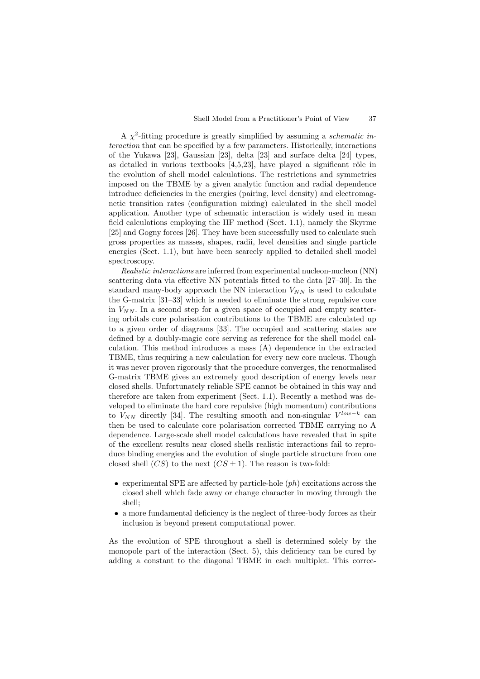A  $\chi^2$ -fitting procedure is greatly simplified by assuming a *schematic interaction* that can be specified by a few parameters. Historically, interactions of the Yukawa [23], Gaussian [23], delta [23] and surface delta [24] types, as detailed in various textbooks  $[4,5,23]$ , have played a significant rôle in the evolution of shell model calculations. The restrictions and symmetries imposed on the TBME by a given analytic function and radial dependence introduce deficiencies in the energies (pairing, level density) and electromagnetic transition rates (configuration mixing) calculated in the shell model application. Another type of schematic interaction is widely used in mean field calculations employing the HF method (Sect. 1.1), namely the Skyrme [25] and Gogny forces [26]. They have been successfully used to calculate such gross properties as masses, shapes, radii, level densities and single particle energies (Sect. 1.1), but have been scarcely applied to detailed shell model spectroscopy.

*Realistic interactions* are inferred from experimental nucleon-nucleon (NN) scattering data via effective NN potentials fitted to the data [27–30]. In the standard many-body approach the NN interaction  $V_{NN}$  is used to calculate the G-matrix [31–33] which is needed to eliminate the strong repulsive core in  $V_{NN}$ . In a second step for a given space of occupied and empty scattering orbitals core polarisation contributions to the TBME are calculated up to a given order of diagrams [33]. The occupied and scattering states are defined by a doubly-magic core serving as reference for the shell model calculation. This method introduces a mass (A) dependence in the extracted TBME, thus requiring a new calculation for every new core nucleus. Though it was never proven rigorously that the procedure converges, the renormalised G-matrix TBME gives an extremely good description of energy levels near closed shells. Unfortunately reliable SPE cannot be obtained in this way and therefore are taken from experiment (Sect. 1.1). Recently a method was developed to eliminate the hard core repulsive (high momentum) contributions to  $V_{NN}$  directly [34]. The resulting smooth and non-singular  $V^{low-k}$  can then be used to calculate core polarisation corrected TBME carrying no A dependence. Large-scale shell model calculations have revealed that in spite of the excellent results near closed shells realistic interactions fail to reproduce binding energies and the evolution of single particle structure from one closed shell  $(CS)$  to the next  $(CS \pm 1)$ . The reason is two-fold:

- experimental SPE are affected by particle-hole  $(ph)$  excitations across the closed shell which fade away or change character in moving through the shell;
- a more fundamental deficiency is the neglect of three-body forces as their inclusion is beyond present computational power.

As the evolution of SPE throughout a shell is determined solely by the monopole part of the interaction (Sect. 5), this deficiency can be cured by adding a constant to the diagonal TBME in each multiplet. This correc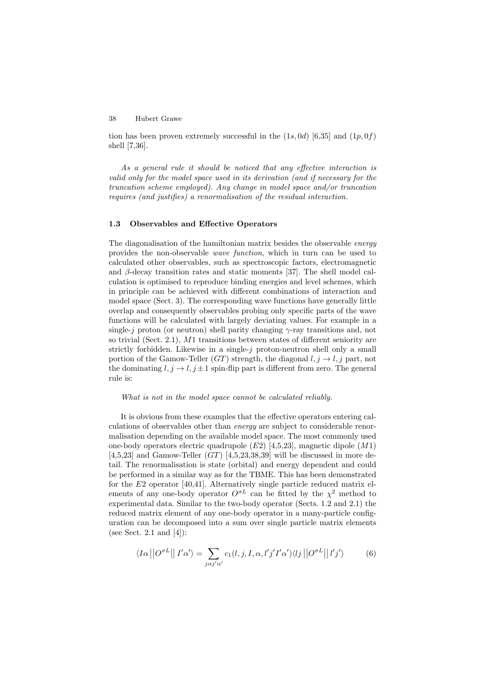tion has been proven extremely successful in the  $(1s, 0d)$  [6,35] and  $(1p, 0f)$ shell [7,36].

*As a general rule it should be noticed that any effective interaction is valid only for the model space used in its derivation (and if necessary for the truncation scheme employed). Any change in model space and/or truncation requires (and justifies) a renormalisation of the residual interaction.*

### **1.3 Observables and Effective Operators**

The diagonalisation of the hamiltonian matrix besides the observable *energy* provides the non-observable *wave function*, which in turn can be used to calculated other observables, such as spectroscopic factors, electromagnetic and  $\beta$ -decay transition rates and static moments [37]. The shell model calculation is optimised to reproduce binding energies and level schemes, which in principle can be achieved with different combinations of interaction and model space (Sect. 3). The corresponding wave functions have generally little overlap and consequently observables probing only specific parts of the wave functions will be calculated with largely deviating values. For example in a single-j proton (or neutron) shell parity changing  $\gamma$ -ray transitions and, not so trivial (Sect. 2.1), M1 transitions between states of different seniority are strictly forbidden. Likewise in a single-j proton-neutron shell only a small portion of the Gamow-Teller (GT) strength, the diagonal  $l, j \rightarrow l, j$  part, not the dominating  $l, j \rightarrow l, j \pm 1$  spin-flip part is different from zero. The general rule is:

#### *What is not in the model space cannot be calculated reliably.*

It is obvious from these examples that the effective operators entering calculations of observables other than *energy* are subject to considerable renormalisation depending on the available model space. The most commonly used one-body operators electric quadrupole  $(E2)$  [4,5,23], magnetic dipole  $(M1)$  $[4,5,23]$  and Gamow-Teller  $(GT)$   $[4,5,23,38,39]$  will be discussed in more detail. The renormalisation is state (orbital) and energy dependent and could be performed in a similar way as for the TBME. This has been demonstrated for the  $E2$  operator [40,41]. Alternatively single particle reduced matrix elements of any one-body operator  $O^{\sigma L}$  can be fitted by the  $\chi^2$  method to experimental data. Similar to the two-body operator (Sects. 1.2 and 2.1) the reduced matrix element of any one-body operator in a many-particle configuration can be decomposed into a sum over single particle matrix elements (see Sect. 2.1 and  $[4]$ ):

$$
\langle I\alpha \left| \left| O^{\sigma L} \right| \right| I'\alpha' \rangle = \sum_{j\alpha j'\alpha'} c_1(l, j, I, \alpha, l'j'I'\alpha') \langle lj \left| \left| O^{\sigma L} \right| \right| l'j' \rangle \tag{6}
$$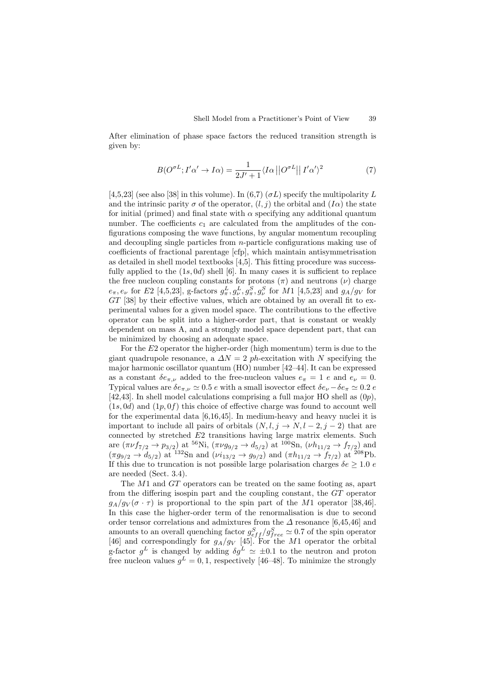After elimination of phase space factors the reduced transition strength is given by:

$$
B(O^{\sigma L}; I'\alpha' \to I\alpha) = \frac{1}{2J' + 1} \langle I\alpha | |O^{\sigma L}| | I'\alpha' \rangle^2 \tag{7}
$$

[4,5,23] (see also [38] in this volume). In (6,7) ( $\sigma L$ ) specify the multipolarity L and the intrinsic parity  $\sigma$  of the operator,  $(l, j)$  the orbital and  $(I\alpha)$  the state for initial (primed) and final state with  $\alpha$  specifying any additional quantum number. The coefficients  $c_1$  are calculated from the amplitudes of the configurations composing the wave functions, by angular momentum recoupling and decoupling single particles from n-particle configurations making use of coefficients of fractional parentage [cfp], which maintain antisymmetrisation as detailed in shell model textbooks [4,5]. This fitting procedure was successfully applied to the  $(1s, 0d)$  shell [6]. In many cases it is sufficient to replace the free nucleon coupling constants for protons  $(\pi)$  and neutrons  $(\nu)$  charge  $e_{\pi}, e_{\nu}$  for E2 [4,5,23], g-factors  $g_{\pi}^L, g_{\nu}^L, g_{\pi}^S, g_{\nu}^S$  for M1 [4,5,23] and  $g_A/g_V$  for GT [38] by their effective values, which are obtained by an overall fit to experimental values for a given model space. The contributions to the effective operator can be split into a higher-order part, that is constant or weakly dependent on mass A, and a strongly model space dependent part, that can be minimized by choosing an adequate space.

For the E2 operator the higher-order (high momentum) term is due to the giant quadrupole resonance, a  $\Delta N = 2$  ph-excitation with N specifying the major harmonic oscillator quantum (HO) number [42–44]. It can be expressed as a constant  $\delta e_{\pi,\nu}$  added to the free-nucleon values  $e_{\pi} = 1 e$  and  $e_{\nu} = 0$ . Typical values are  $\delta e_{\pi,\nu} \simeq 0.5 e$  with a small isovector effect  $\delta e_{\nu} - \delta e_{\pi} \simeq 0.2 e$ [42,43]. In shell model calculations comprising a full major HO shell as  $(0p)$ ,  $(1s, 0d)$  and  $(1p, 0f)$  this choice of effective charge was found to account well for the experimental data [6,16,45]. In medium-heavy and heavy nuclei it is important to include all pairs of orbitals  $(N,l,j \rightarrow N,l-2,j-2)$  that are connected by stretched E2 transitions having large matrix elements. Such are  $(\pi\nu f_{7/2} \rightarrow p_{3/2})$  at <sup>56</sup>Ni,  $(\pi\nu g_{9/2} \rightarrow d_{5/2})$  at <sup>100</sup>Sn,  $(\nu h_{11/2} \rightarrow f_{7/2})$  and  $(\pi g_{9/2} \rightarrow d_{5/2})$  at <sup>132</sup>Sn and  $(\nu i_{13/2} \rightarrow g_{9/2})$  and  $(\pi h_{11/2} \rightarrow f_{7/2})$  at <sup>208</sup>Pb. If this due to truncation is not possible large polarisation charges  $\delta e \geq 1.0$  e are needed (Sect. 3.4).

The M1 and GT operators can be treated on the same footing as, apart from the differing isospin part and the coupling constant, the GT operator  $g_A/g_V(\sigma \cdot \tau)$  is proportional to the spin part of the M1 operator [38,46]. In this case the higher-order term of the renormalisation is due to second order tensor correlations and admixtures from the  $\Delta$  resonance [6,45,46] and amounts to an overall quenching factor  $g_{eff}^{S}/g_{free}^{S} \simeq 0.7$  of the spin operator [46] and correspondingly for  $g_A/g_V$  [45]. For the M1 operator the orbital g-factor  $g^L$  is changed by adding  $\delta g^L \simeq \pm 0.1$  to the neutron and proton free nucleon values  $q^L = 0, 1$ , respectively [46–48]. To minimize the strongly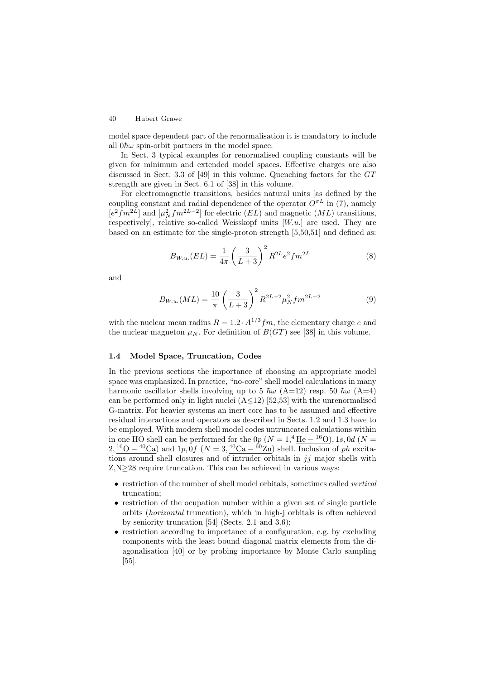model space dependent part of the renormalisation it is mandatory to include all  $0\hbar\omega$  spin-orbit partners in the model space.

In Sect. 3 typical examples for renormalised coupling constants will be given for minimum and extended model spaces. Effective charges are also discussed in Sect. 3.3 of [49] in this volume. Quenching factors for the GT strength are given in Sect. 6.1 of [38] in this volume.

For electromagnetic transitions, besides natural units [as defined by the coupling constant and radial dependence of the operator  $O^{\sigma L}$  in (7), namely  $[e^2fm^{2L}]$  and  $\left[\mu_N^2fm^{2L-2}\right]$  for electric  $(EL)$  and magnetic  $(ML)$  transitions, respectively], relative so-called Weisskopf units  $[W.u.]$  are used. They are based on an estimate for the single-proton strength [5,50,51] and defined as:

$$
B_{W.u.}(EL) = \frac{1}{4\pi} \left(\frac{3}{L+3}\right)^2 R^{2L} e^2 f m^{2L}
$$
 (8)

and

$$
B_{W.u.}(ML) = \frac{10}{\pi} \left(\frac{3}{L+3}\right)^2 R^{2L-2} \mu_N^2 f m^{2L-2}
$$
 (9)

with the nuclear mean radius  $R = 1.2 \cdot A^{1/3} fm$ , the elementary charge e and the nuclear magneton  $\mu_N$ . For definition of  $B(GT)$  see [38] in this volume.

### **1.4 Model Space, Truncation, Codes**

In the previous sections the importance of choosing an appropriate model space was emphasized. In practice, "no-core" shell model calculations in many harmonic oscillator shells involving up to 5  $\hbar\omega$  (A=12) resp. 50  $\hbar\omega$  (A=4) can be performed only in light nuclei  $(A \leq 12)$  [52,53] with the unrenormalised G-matrix. For heavier systems an inert core has to be assumed and effective residual interactions and operators as described in Sects. 1.2 and 1.3 have to be employed. With modern shell model codes untruncated calculations within in one HO shell can be performed for the  $0p(N=1, 4\text{ He} - 16\text{O}), 1s, 0d(N=1)$  $2, {}^{16}O - {}^{40}Ca$ ) and  $1p, 0f$  ( $N = 3, {}^{40}Ca - {}^{60}Zn$ ) shell. Inclusion of ph excitations around shell closures and of intruder orbitals in  $jj$  major shells with  $Z, N \geq 28$  require truncation. This can be achieved in various ways:

- restriction of the number of shell model orbitals, sometimes called *vertical* truncation;
- restriction of the ocupation number within a given set of single particle orbits (*horizontal* truncation), which in high-j orbitals is often achieved by seniority truncation [54] (Sects. 2.1 and 3.6);
- restriction according to importance of a configuration, e.g. by excluding components with the least bound diagonal matrix elements from the diagonalisation [40] or by probing importance by Monte Carlo sampling [55].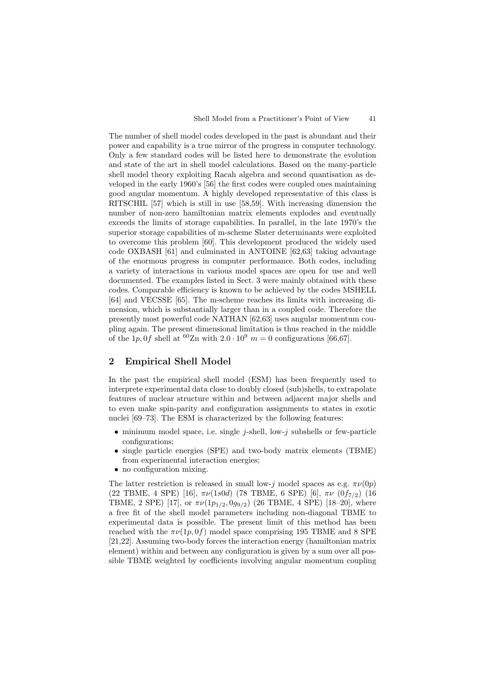The number of shell model codes developed in the past is abundant and their power and capability is a true mirror of the progress in computer technology. Only a few standard codes will be listed here to demonstrate the evolution and state of the art in shell model calculations. Based on the many-particle shell model theory exploiting Racah algebra and second quantisation as developed in the early 1960's [56] the first codes were coupled ones maintaining good angular momentum. A highly developed representative of this class is RITSCHIL [57] which is still in use [58,59]. With increasing dimension the number of non-zero hamiltonian matrix elements explodes and eventually exceeds the limits of storage capabilities. In parallel, in the late 1970's the superior storage capabilities of m-scheme Slater determinants were exploited to overcome this problem [60]. This development produced the widely used code OXBASH [61] and culminated in ANTOINE [62,63] taking advantage of the enormous progress in computer performance. Both codes, including a variety of interactions in various model spaces are open for use and well documented. The examples listed in Sect. 3 were mainly obtained with these codes. Comparable efficiency is known to be achieved by the codes MSHELL [64] and VECSSE [65]. The m-scheme reaches its limits with increasing dimension, which is substantially larger than in a coupled code. Therefore the presently most powerful code NATHAN [62,63] uses angular momentum coupling again. The present dimensional limitation is thus reached in the middle of the 1p, 0f shell at  ${}^{60}$ Zn with  $2.0 \cdot 10^9$  m = 0 configurations [66,67].

# **2 Empirical Shell Model**

In the past the empirical shell model (ESM) has been frequently used to interprete experimental data close to doubly closed (sub)shells, to extrapolate features of nuclear structure within and between adjacent major shells and to even make spin-parity and configuration assignments to states in exotic nuclei [69–73]. The ESM is characterized by the following features:

- minimum model space, i.e. single  $j$ -shell, low- $j$  subshells or few-particle configurations;
- single particle energies (SPE) and two-body matrix elements (TBME) from experimental interaction energies;
- no configuration mixing.

The latter restriction is released in small low-j model spaces as e.g.  $\pi\nu(0p)$ (22 TBME, 4 SPE) [16],  $\pi\nu(1s0d)$  (78 TBME, 6 SPE) [6],  $\pi\nu$  (0 $f_{7/2}$ ) (16 TBME, 2 SPE) [17], or  $\pi\nu(1p_{1/2}, 0g_{9/2})$  (26 TBME, 4 SPE) [18–20], where a free fit of the shell model parameters including non-diagonal TBME to experimental data is possible. The present limit of this method has been reached with the  $\pi\nu(1p, 0f)$  model space comprising 195 TBME and 8 SPE [21,22]. Assuming two-body forces the interaction energy (hamiltonian matrix element) within and between any configuration is given by a sum over all possible TBME weighted by coefficients involving angular momentum coupling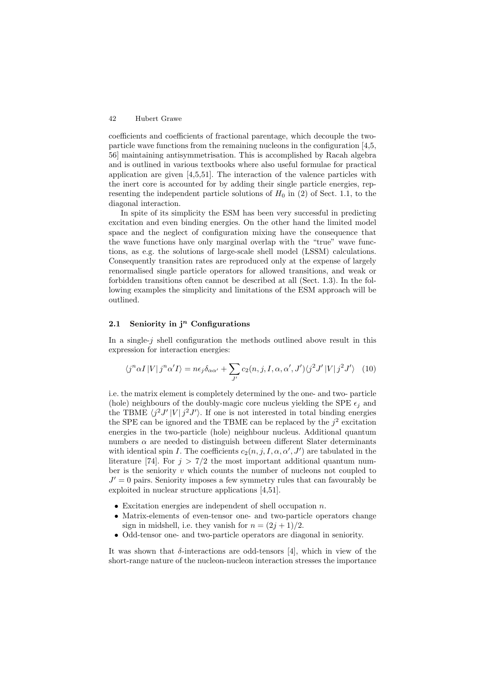coefficients and coefficients of fractional parentage, which decouple the twoparticle wave functions from the remaining nucleons in the configuration [4,5, 56] maintaining antisymmetrisation. This is accomplished by Racah algebra and is outlined in various textbooks where also useful formulae for practical application are given [4,5,51]. The interaction of the valence particles with the inert core is accounted for by adding their single particle energies, representing the independent particle solutions of  $H_0$  in (2) of Sect. 1.1, to the diagonal interaction.

In spite of its simplicity the ESM has been very successful in predicting excitation and even binding energies. On the other hand the limited model space and the neglect of configuration mixing have the consequence that the wave functions have only marginal overlap with the "true" wave functions, as e.g. the solutions of large-scale shell model (LSSM) calculations. Consequently transition rates are reproduced only at the expense of largely renormalised single particle operators for allowed transitions, and weak or forbidden transitions often cannot be described at all (Sect. 1.3). In the following examples the simplicity and limitations of the ESM approach will be outlined.

### **2.1 Seniority in j***<sup>n</sup>* **Configurations**

In a single- $j$  shell configuration the methods outlined above result in this expression for interaction energies:

$$
\langle j^n \alpha I | V | j^n \alpha' I \rangle = n\epsilon_j \delta_{\alpha\alpha'} + \sum_{J'} c_2(n, j, I, \alpha, \alpha', J') \langle j^2 J' | V | j^2 J' \rangle \quad (10)
$$

i.e. the matrix element is completely determined by the one- and two- particle (hole) neighbours of the doubly-magic core nucleus yielding the SPE  $\epsilon_i$  and the TBME  $\langle j^2 J' | V | j^2 J' \rangle$ . If one is not interested in total binding energies the SPE can be ignored and the TBME can be replaced by the  $j^2$  excitation energies in the two-particle (hole) neighbour nucleus. Additional quantum numbers  $\alpha$  are needed to distinguish between different Slater determinants with identical spin I. The coefficients  $c_2(n, j, I, \alpha, \alpha', J')$  are tabulated in the literature [74]. For  $j > 7/2$  the most important additional quantum number is the seniority  $v$  which counts the number of nucleons not coupled to  $J' = 0$  pairs. Seniority imposes a few symmetry rules that can favourably be exploited in nuclear structure applications [4,51].

- Excitation energies are independent of shell occupation  $n$ .
- Matrix-elements of even-tensor one- and two-particle operators change sign in midshell, i.e. they vanish for  $n = (2j + 1)/2$ .
- Odd-tensor one- and two-particle operators are diagonal in seniority.

It was shown that  $\delta$ -interactions are odd-tensors [4], which in view of the short-range nature of the nucleon-nucleon interaction stresses the importance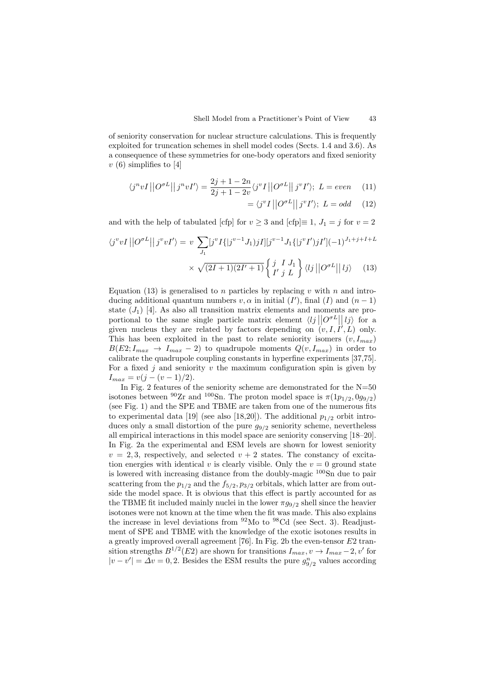of seniority conservation for nuclear structure calculations. This is frequently exploited for truncation schemes in shell model codes (Sects. 1.4 and 3.6). As a consequence of these symmetries for one-body operators and fixed seniority  $v(6)$  simplifies to [4]

$$
\langle j^n vI || O^{\sigma L} || j^n vI' \rangle = \frac{2j+1-2n}{2j+1-2v} \langle j^v I || O^{\sigma L} || j^v I' \rangle; \ L = even \quad (11)
$$

$$
= \langle j^{v} I || O^{\sigma L} || j^{v} I' \rangle; L = odd \quad (12)
$$

and with the help of tabulated [cfp] for  $v \geq 3$  and [cfp] $\equiv 1, J_1 = j$  for  $v = 2$ 

$$
\langle j^v v I || O^{\sigma L} || j^v v I' \rangle = v \sum_{J_1} [j^v I \{ | j^{v-1} J_1 \rangle j I ] [j^{v-1} J_1 \{ | j^v I' \rangle j I' ] (-1)^{J_1 + j + I + L}
$$

$$
\times \sqrt{(2I+1)(2I'+1)} \left\{ \begin{array}{c} j & I & J_1 \\ I' & j & L \end{array} \right\} \langle l j || O^{\sigma L} || l j \rangle \tag{13}
$$

Equation (13) is generalised to n particles by replacing v with n and introducing additional quantum numbers  $v, \alpha$  in initial  $(I')$ , final  $(I)$  and  $(n-1)$ state  $(J_1)$  [4]. As also all transition matrix elements and moments are proportional to the same single particle matrix element  $\langle lj| |O^{\sigma L}| |lj\rangle$  for a given puckey they are related by fectors depending on  $\langle u, LU, \cdot \rangle$  only portional to the same single particle matrix element  $\langle v_j | v_j | v_j \rangle$  for a<br>given nucleus they are related by factors depending on  $(v, I, I', L)$  only. This has been exploited in the past to relate seniority isomers  $(v, I_{max})$  $B(E2; I_{max} \rightarrow I_{max} - 2)$  to quadrupole moments  $Q(v, I_{max})$  in order to calibrate the quadrupole coupling constants in hyperfine experiments [37,75]. For a fixed  $j$  and seniority  $v$  the maximum configuration spin is given by  $I_{max} = v(j - (v - 1)/2).$ 

In Fig. 2 features of the seniority scheme are demonstrated for the  $N=50$ isotones between <sup>90</sup>Zr and <sup>100</sup>Sn. The proton model space is  $\pi(1p_{1/2}, 0g_{9/2})$ (see Fig. 1) and the SPE and TBME are taken from one of the numerous fits to experimental data [19] (see also [18,20]). The additional  $p_{1/2}$  orbit introduces only a small distortion of the pure  $g_{9/2}$  seniority scheme, nevertheless all empirical interactions in this model space are seniority conserving [18–20]. In Fig. 2a the experimental and ESM levels are shown for lowest seniority  $v = 2, 3$ , respectively, and selected  $v + 2$  states. The constancy of excitation energies with identical v is clearly visible. Only the  $v = 0$  ground state is lowered with increasing distance from the doubly-magic  $100\text{Sn}$  due to pair scattering from the  $p_{1/2}$  and the  $f_{5/2}, p_{3/2}$  orbitals, which latter are from outside the model space. It is obvious that this effect is partly accounted for as the TBME fit included mainly nuclei in the lower  $\pi g_{9/2}$  shell since the heavier isotones were not known at the time when the fit was made. This also explains the increase in level deviations from  $^{92}$ Mo to  $^{98}$ Cd (see Sect. 3). Readjustment of SPE and TBME with the knowledge of the exotic isotones results in a greatly improved overall agreement [76]. In Fig. 2b the even-tensor E2 transition strengths  $B^{1/2}(E2)$  are shown for transitions  $I_{max}$ ,  $v \to I_{max} - 2$ , v' for  $|v - v'| = \Delta v = 0, 2$ . Besides the ESM results the pure  $g_{9/2}^n$  values according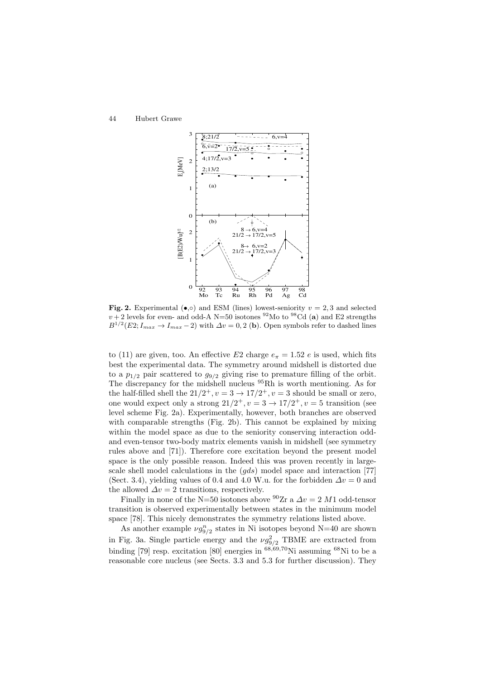

**Fig. 2.** Experimental (•, $\circ$ ) and ESM (lines) lowest-seniority  $v = 2, 3$  and selected  $v + 2$  levels for even- and odd-A N=50 isotones <sup>92</sup>Mo to <sup>98</sup>Cd (a) and E2 strengths  $B^{1/2}(E2; I_{max} \rightarrow I_{max} - 2)$  with  $\Delta v = 0, 2$  (**b**). Open symbols refer to dashed lines

to (11) are given, too. An effective E2 charge  $e_{\pi} = 1.52 e$  is used, which fits best the experimental data. The symmetry around midshell is distorted due to a  $p_{1/2}$  pair scattered to  $g_{9/2}$  giving rise to premature filling of the orbit. The discrepancy for the midshell nucleus <sup>95</sup>Rh is worth mentioning. As for the half-filled shell the  $21/2^+, v = 3 \rightarrow 17/2^+, v = 3$  should be small or zero, one would expect only a strong  $21/2^+, v = 3 \rightarrow 17/2^+, v = 5$  transition (see level scheme Fig. 2a). Experimentally, however, both branches are observed with comparable strengths (Fig. 2b). This cannot be explained by mixing within the model space as due to the seniority conserving interaction oddand even-tensor two-body matrix elements vanish in midshell (see symmetry rules above and [71]). Therefore core excitation beyond the present model space is the only possible reason. Indeed this was proven recently in largescale shell model calculations in the (gds) model space and interaction [77] (Sect. 3.4), yielding values of 0.4 and 4.0 W.u. for the forbidden  $\Delta v = 0$  and the allowed  $\Delta v = 2$  transitions, respectively.

Finally in none of the N=50 isotones above  $90Zr$  a  $\Delta v = 2 M1$  odd-tensor transition is observed experimentally between states in the minimum model space [78]. This nicely demonstrates the symmetry relations listed above.

As another example  $\nu g_{9/2}^n$  states in Ni isotopes beyond N=40 are shown in Fig. 3a. Single particle energy and the  $\nu g_{9/2}^2$  TBME are extracted from binding [79] resp. excitation [80] energies in  $^{68,69,70}$ Ni assuming  $^{68}$ Ni to be a reasonable core nucleus (see Sects. 3.3 and 5.3 for further discussion). They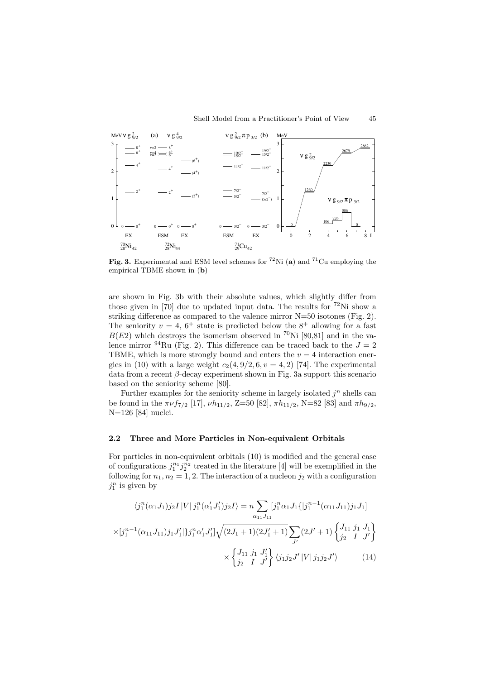

**Fig. 3.** Experimental and ESM level schemes for <sup>72</sup>Ni (a) and <sup>71</sup>Cu employing the empirical TBME shown in (**b**)

are shown in Fig. 3b with their absolute values, which slightly differ from those given in [70] due to updated input data. The results for  ${}^{72}$ Ni show a striking difference as compared to the valence mirror  $N=50$  isotones (Fig. 2). The seniority  $v = 4, 6^+$  state is predicted below the  $8^+$  allowing for a fast  $B(E2)$  which destroys the isomerism observed in <sup>70</sup>Ni [80,81] and in the valence mirror <sup>94</sup>Ru (Fig. 2). This difference can be traced back to the  $J = 2$ TBME, which is more strongly bound and enters the  $v = 4$  interaction energies in (10) with a large weight  $c_2(4, 9/2, 6, v = 4, 2)$  [74]. The experimental data from a recent  $\beta$ -decay experiment shown in Fig. 3a support this scenario based on the seniority scheme [80].

Further examples for the seniority scheme in largely isolated  $j<sup>n</sup>$  shells can be found in the  $\pi \nu f_{7/2}$  [17],  $\nu h_{11/2}$ , Z=50 [82],  $\pi h_{11/2}$ , N=82 [83] and  $\pi h_{9/2}$ , N=126 [84] nuclei.

#### **2.2 Three and More Particles in Non-equivalent Orbitals**

For particles in non-equivalent orbitals (10) is modified and the general case of configurations  $j_1^{n_1} j_2^{n_2}$  treated in the literature [4] will be exemplified in the following for  $n_1, n_2 = 1, 2$ . The interaction of a nucleon  $j_2$  with a configuration  $j_1^n$  is given by

$$
\langle j_1^n(\alpha_1 J_1)j_2I | V | j_1^n(\alpha'_1 J'_1)j_2I \rangle = n \sum_{\alpha_{11} J_{11}} [j_1^n \alpha_1 J_1 \{ | j_1^{n-1}(\alpha_{11} J_{11})j_1 J_1 | \times [j_1^{n-1}(\alpha_{11} J_{11})j_1 J'_1] \}j_1^n \alpha'_1 J'_1] \sqrt{(2J_1 + 1)(2J'_1 + 1)} \sum_{J'} (2J' + 1) \begin{Bmatrix} J_{11} \ j_1 \ j_1 \end{Bmatrix} J'_1 \times \begin{Bmatrix} J_{11} \ j_1 \ j_1 \end{Bmatrix} \langle j_1 j_2 J' | V | j_1 j_2 J' \rangle
$$
 (14)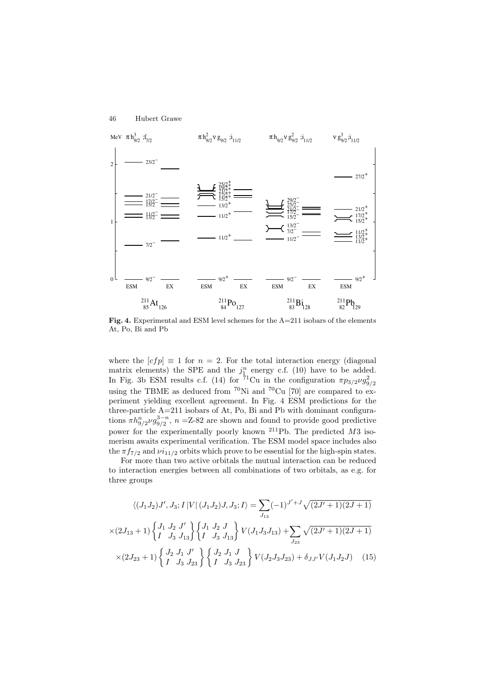

Fig. 4. Experimental and ESM level schemes for the A=211 isobars of the elements At, Po, Bi and Pb

where the  $[cf p] \equiv 1$  for  $n = 2$ . For the total interaction energy (diagonal matrix elements) the SPE and the  $j_{\perp}^{n}$  energy c.f. (10) have to be added. In Fig. 3b ESM results c.f. (14) for <sup>71</sup>Cu in the configuration  $\pi p_{3/2} \nu g_{9/2}^2$ using the TBME as deduced from  ${}^{70}\text{Ni}$  and  ${}^{70}\text{Cu}$  [70] are compared to experiment yielding excellent agreement. In Fig. 4 ESM predictions for the three-particle A=211 isobars of At, Po, Bi and Pb with dominant configurations  $\pi h_{9/2}^n \nu g_{9/2}^{3-n}$ ,  $n = \text{Z-82}$  are shown and found to provide good predictive power for the experimentally poorly known  $^{211}Pb$ . The predicted M3 isomerism awaits experimental verification. The ESM model space includes also the  $\pi f_{7/2}$  and  $\nu i_{11/2}$  orbits which prove to be essential for the high-spin states.

For more than two active orbitals the mutual interaction can be reduced to interaction energies between all combinations of two orbitals, as e.g. for three groups

$$
\langle (J_1 J_2) J', J_3; I | V | (J_1 J_2) J, J_3; I \rangle = \sum_{J_{13}} (-1)^{J'+J} \sqrt{(2J'+1)(2J+1)}
$$
  
 
$$
\times (2J_{13}+1) \begin{Bmatrix} J_1 & J_2 & J' \\ I & J_3 & J_{13} \end{Bmatrix} \begin{Bmatrix} J_1 & J_2 & J \\ I & J_3 & J_{13} \end{Bmatrix} V (J_1 J_3 J_{13}) + \sum_{J_{23}} \sqrt{(2J'+1)(2J+1)}
$$
  
 
$$
\times (2J_{23}+1) \begin{Bmatrix} J_2 & J_1 & J' \\ I & J_3 & J_{23} \end{Bmatrix} \begin{Bmatrix} J_2 & J_1 & J \\ I & J_3 & J_{23} \end{Bmatrix} V (J_2 J_3 J_{23}) + \delta_{JJ'} V (J_1 J_2 J) \quad (15)
$$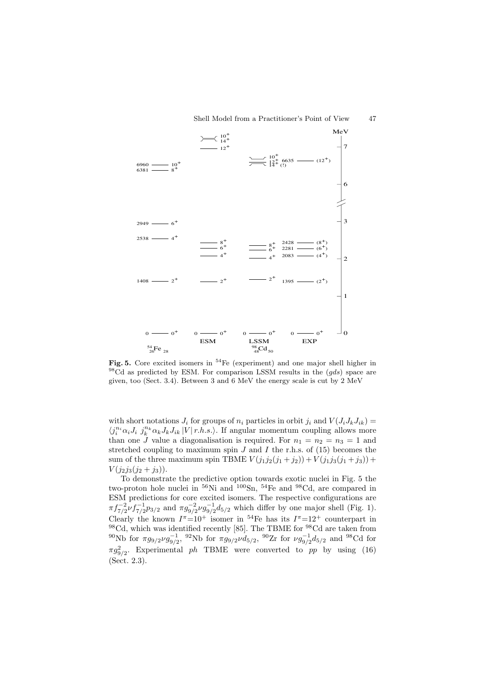

Fig. 5. Core excited isomers in <sup>54</sup>Fe (experiment) and one major shell higher in  $98\text{Cd}$  as predicted by ESM. For comparison LSSM results in the  $(gds)$  space are given, too (Sect. 3.4). Between 3 and 6 MeV the energy scale is cut by 2 MeV

with short notations  $J_i$  for groups of  $n_i$  particles in orbit  $j_i$  and  $V(J_iJ_kJ_{ik}) =$  $\langle j_i^{n_i} \alpha_i J_i \ j_k^{n_k} \alpha_k J_k J_{ik} |V| r.h.s. \rangle$ . If angular momentum coupling allows more than one J value a diagonalisation is required. For  $n_1 = n_2 = n_3 = 1$  and stretched coupling to maximum spin J and I the r.h.s. of  $(15)$  becomes the sum of the three maximum spin TBME  $V(j_1j_2(j_1 + j_2)) + V(j_1j_3(j_1 + j_3)) +$  $V(i_2j_3(j_2 + j_3)).$ 

To demonstrate the predictive option towards exotic nuclei in Fig. 5 the two-proton hole nuclei in <sup>56</sup>Ni and <sup>100</sup>Sn, <sup>54</sup>Fe and <sup>98</sup>Cd, are compared in ESM predictions for core excited isomers. The respective configurations are  $\pi f_{7/2}^{-2} \nu f_{7/2}^{-1} p_{3/2}$  and  $\pi g_{9/2}^{-2} \nu g_{9/2}^{-1} d_{5/2}$  which differ by one major shell (Fig. 1). Clearly the known  $I^{\pi}$ =10<sup>+</sup> isomer in <sup>54</sup>Fe has its  $I^{\pi}$ =12<sup>+</sup> counterpart in  $98\text{Cd}$ , which was identified recently [85]. The TBME for  $98\text{Cd}$  are taken from <sup>90</sup>Nb for  $\pi g_{9/2} \nu g_{9/2}^{-1}$ , <sup>92</sup>Nb for  $\pi g_{9/2} \nu d_{5/2}$ , <sup>90</sup>Zr for  $\nu g_{9/2}^{-1} d_{5/2}$  and <sup>98</sup>Cd for  $\pi g_{9/2}^2$ . Experimental ph TBME were converted to pp by using (16) (Sect. 2.3).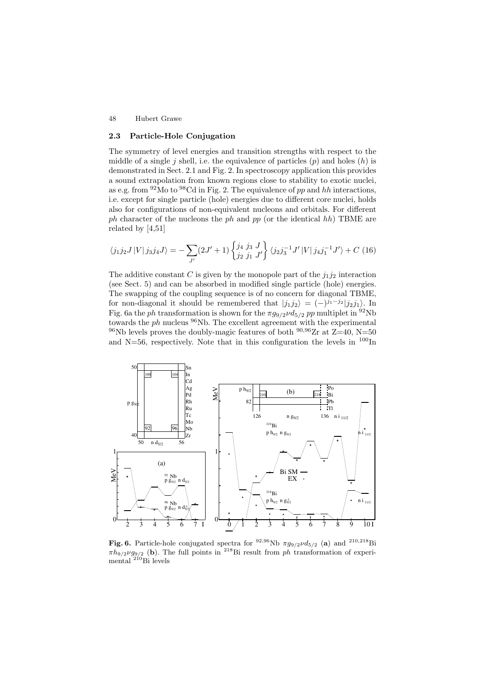#### **2.3 Particle-Hole Conjugation**

The symmetry of level energies and transition strengths with respect to the middle of a single j shell, i.e. the equivalence of particles  $(p)$  and holes  $(h)$  is demonstrated in Sect. 2.1 and Fig. 2. In spectroscopy application this provides a sound extrapolation from known regions close to stability to exotic nuclei, as e.g. from <sup>92</sup>Mo to <sup>98</sup>Cd in Fig. 2. The equivalence of pp and hh interactions, i.e. except for single particle (hole) energies due to different core nuclei, holds also for configurations of non-equivalent nucleons and orbitals. For different ph character of the nucleons the ph and pp (or the identical hh) TBME are related by [4,51]

$$
\langle j_1 j_2 J \left| V \right| j_3 j_4 J \rangle = -\sum_{J'} (2J' + 1) \begin{Bmatrix} j_4 \ j_3 \ j_1 \ j_2 \end{Bmatrix} \langle j_2 j_3^{-1} J' \left| V \right| j_4 j_1^{-1} J' \rangle + C \ (16)
$$

The additive constant C is given by the monopole part of the  $j_1j_2$  interaction (see Sect. 5) and can be absorbed in modified single particle (hole) energies. The swapping of the coupling sequence is of no concern for diagonal TBME, for non-diagonal it should be remembered that  $|j_1j_2\rangle = (-)^{j_1-j_2}|j_2j_1\rangle$ . In Fig. 6a the ph transformation is shown for the  $\pi g_{9/2} \nu d_{5/2}$  pp multiplet in <sup>92</sup>Nb towards the  $ph$  nucleus  $96Nb$ . The excellent agreement with the experimental <sup>96</sup>Nb levels proves the doubly-magic features of both <sup>90,96</sup>Zr at  $Z=40$ , N=50 and N=56, respectively. Note that in this configuration the levels in  $^{100}$ In



**Fig. 6.** Particle-hole conjugated spectra for <sup>92,96</sup>Nb  $\pi g_{9/2} \nu d_{5/2}$  (a) and <sup>210,218</sup>Bi  $\pi h_{9/2} \nu g_{9/2}$  (b). The full points in <sup>218</sup>Bi result from *ph* transformation of experimental  $^{210}$ Bi levels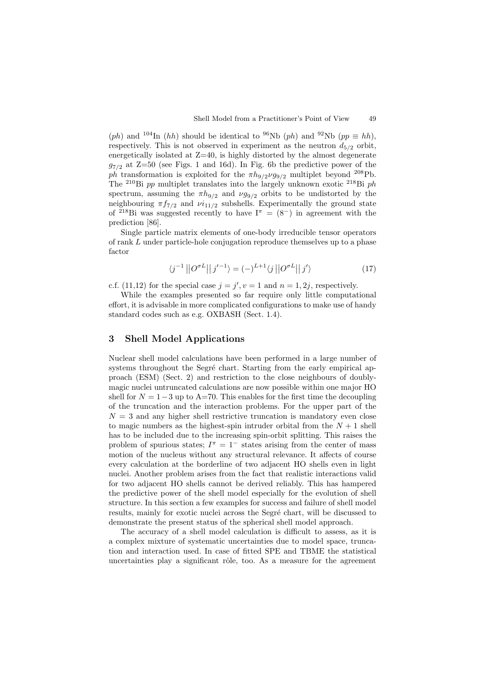(ph) and <sup>104</sup>In (hh) should be identical to <sup>96</sup>Nb (ph) and <sup>92</sup>Nb (pp  $\equiv hh$ ), respectively. This is not observed in experiment as the neutron  $d_{5/2}$  orbit, energetically isolated at  $Z=40$ , is highly distorted by the almost degenerate  $g_{7/2}$  at Z=50 (see Figs. 1 and 16d). In Fig. 6b the predictive power of the ph transformation is exploited for the  $\pi h_{9/2} \nu g_{9/2}$  multiplet beyond <sup>208</sup>Pb. The  $^{210}$ Bi pp multiplet translates into the largely unknown exotic  $^{218}$ Bi ph spectrum, assuming the  $\pi h_{9/2}$  and  $\nu g_{9/2}$  orbits to be undistorted by the neighbouring  $\pi f_{7/2}$  and  $\nu i_{11/2}$  subshells. Experimentally the ground state of <sup>218</sup>Bi was suggested recently to have  $I^{\pi} = (8^{-})$  in agreement with the prediction [86].

Single particle matrix elements of one-body irreducible tensor operators of rank L under particle-hole conjugation reproduce themselves up to a phase factor

$$
\langle j^{-1} || O^{\sigma L} || j'^{-1} \rangle = (-)^{L+1} \langle j || O^{\sigma L} || j' \rangle \tag{17}
$$

c.f. (11,12) for the special case  $j = j', v = 1$  and  $n = 1, 2j$ , respectively.

While the examples presented so far require only little computational effort, it is advisable in more complicated configurations to make use of handy standard codes such as e.g. OXBASH (Sect. 1.4).

### **3 Shell Model Applications**

Nuclear shell model calculations have been performed in a large number of systems throughout the Segré chart. Starting from the early empirical approach (ESM) (Sect. 2) and restriction to the close neighbours of doublymagic nuclei untruncated calculations are now possible within one major HO shell for  $N = 1-3$  up to A=70. This enables for the first time the decoupling of the truncation and the interaction problems. For the upper part of the  $N = 3$  and any higher shell restrictive truncation is mandatory even close to magic numbers as the highest-spin intruder orbital from the  $N+1$  shell has to be included due to the increasing spin-orbit splitting. This raises the problem of spurious states;  $I^{\pi} = 1^-$  states arising from the center of mass motion of the nucleus without any structural relevance. It affects of course every calculation at the borderline of two adjacent HO shells even in light nuclei. Another problem arises from the fact that realistic interactions valid for two adjacent HO shells cannot be derived reliably. This has hampered the predictive power of the shell model especially for the evolution of shell structure. In this section a few examples for success and failure of shell model results, mainly for exotic nuclei across the Segré chart, will be discussed to demonstrate the present status of the spherical shell model approach.

The accuracy of a shell model calculation is difficult to assess, as it is a complex mixture of systematic uncertainties due to model space, truncation and interaction used. In case of fitted SPE and TBME the statistical uncertainties play a significant rôle, too. As a measure for the agreement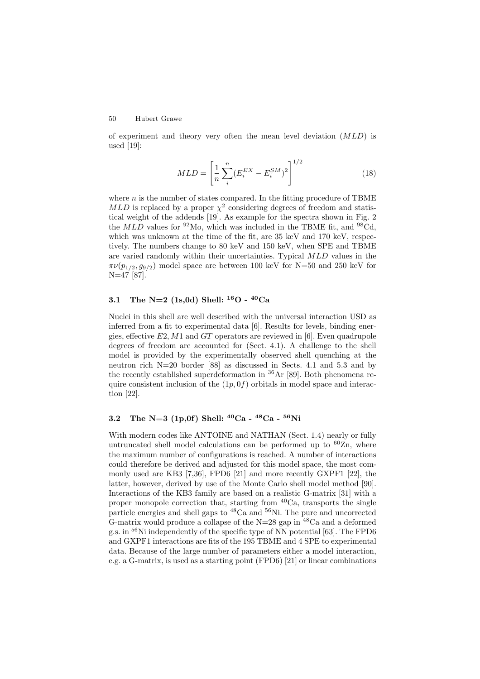of experiment and theory very often the mean level deviation  $(MLD)$  is used [19]:

$$
MLD = \left[\frac{1}{n}\sum_{i}^{n}(E_i^{EX} - E_i^{SM})^2\right]^{1/2} \tag{18}
$$

where  $n$  is the number of states compared. In the fitting procedure of TBME  $MLD$  is replaced by a proper  $\chi^2$  considering degrees of freedom and statistical weight of the addends [19]. As example for the spectra shown in Fig. 2 the  $MLD$  values for <sup>92</sup>Mo, which was included in the TBME fit, and <sup>98</sup>Cd, which was unknown at the time of the fit, are 35 keV and 170 keV, respectively. The numbers change to 80 keV and 150 keV, when SPE and TBME are varied randomly within their uncertainties. Typical MLD values in the  $\pi\nu(p_{1/2}, g_{9/2})$  model space are between 100 keV for N=50 and 250 keV for N=47 [87].

### **3.1 The N=2 (1s,0d) Shell: <sup>16</sup>O - <sup>40</sup>Ca**

Nuclei in this shell are well described with the universal interaction USD as inferred from a fit to experimental data [6]. Results for levels, binding energies, effective  $E2, M1$  and  $GT$  operators are reviewed in [6]. Even quadrupole degrees of freedom are accounted for (Sect. 4.1). A challenge to the shell model is provided by the experimentally observed shell quenching at the neutron rich N=20 border [88] as discussed in Sects. 4.1 and 5.3 and by the recently established superdeformation in  ${}^{36}Ar$  [89]. Both phenomena require consistent inclusion of the  $(1p, 0f)$  orbitals in model space and interaction [22].

### **3.2 The N=3 (1p,0f) Shell: <sup>40</sup>Ca - <sup>48</sup>Ca - <sup>56</sup>Ni**

With modern codes like ANTOINE and NATHAN (Sect. 1.4) nearly or fully untruncated shell model calculations can be performed up to  ${}^{60}Zn$ , where the maximum number of configurations is reached. A number of interactions could therefore be derived and adjusted for this model space, the most commonly used are KB3 [7,36], FPD6 [21] and more recently GXPF1 [22], the latter, however, derived by use of the Monte Carlo shell model method [90]. Interactions of the KB3 family are based on a realistic G-matrix [31] with a proper monopole correction that, starting from  ${}^{40}$ Ca, transports the single particle energies and shell gaps to <sup>48</sup>Ca and <sup>56</sup>Ni. The pure and uncorrected G-matrix would produce a collapse of the  $N=28$  gap in  $48$ Ca and a deformed g.s. in <sup>56</sup>Ni independently of the specific type of NN potential [63]. The FPD6 and GXPF1 interactions are fits of the 195 TBME and 4 SPE to experimental data. Because of the large number of parameters either a model interaction, e.g. a G-matrix, is used as a starting point (FPD6) [21] or linear combinations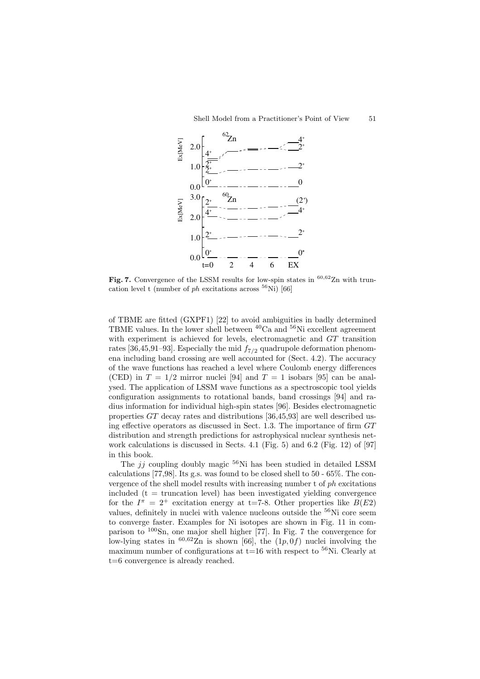

**Fig. 7.** Convergence of the LSSM results for low-spin states in  ${}^{60,62}Zn$  with truncation level t (number of ph excitations across  $^{56}$ Ni) [66]

of TBME are fitted (GXPF1) [22] to avoid ambiguities in badly determined TBME values. In the lower shell between <sup>40</sup>Ca and <sup>56</sup>Ni excellent agreement with experiment is achieved for levels, electromagnetic and GT transition rates [36,45,91–93]. Especially the mid  $f_{7/2}$  quadrupole deformation phenomena including band crossing are well accounted for (Sect. 4.2). The accuracy of the wave functions has reached a level where Coulomb energy differences (CED) in  $T = 1/2$  mirror nuclei [94] and  $T = 1$  isobars [95] can be analysed. The application of LSSM wave functions as a spectroscopic tool yields configuration assignments to rotational bands, band crossings [94] and radius information for individual high-spin states [96]. Besides electromagnetic properties GT decay rates and distributions [36,45,93] are well described using effective operators as discussed in Sect. 1.3. The importance of firm GT distribution and strength predictions for astrophysical nuclear synthesis network calculations is discussed in Sects. 4.1 (Fig. 5) and 6.2 (Fig. 12) of [97] in this book.

The  $ji$  coupling doubly magic <sup>56</sup>Ni has been studied in detailed LSSM calculations [77,98]. Its g.s. was found to be closed shell to 50 - 65%. The convergence of the shell model results with increasing number t of ph excitations included  $(t =$  truncation level) has been investigated yielding convergence for the  $I^{\pi} = 2^{+}$  excitation energy at t=7-8. Other properties like  $B(E2)$ values, definitely in nuclei with valence nucleons outside the  $^{56}\rm{Ni}$  core seem to converge faster. Examples for Ni isotopes are shown in Fig. 11 in comparison to <sup>100</sup>Sn, one major shell higher [77]. In Fig. 7 the convergence for low-lying states in  $60,62$ Zn is shown [66], the  $(1p, 0f)$  nuclei involving the maximum number of configurations at  $t=16$  with respect to <sup>56</sup>Ni. Clearly at t=6 convergence is already reached.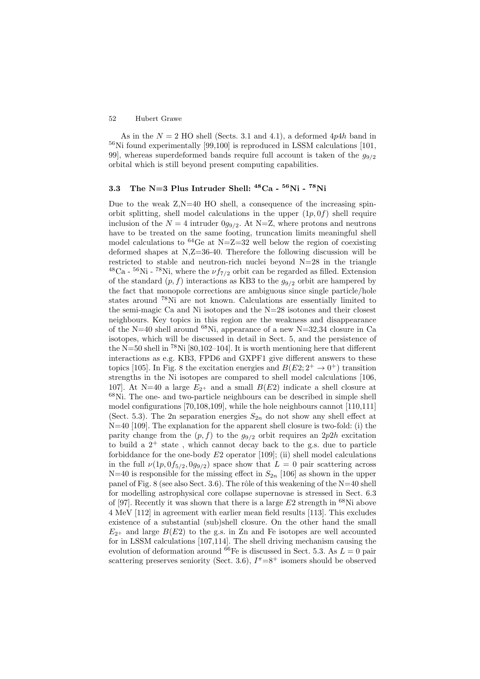As in the  $N = 2$  HO shell (Sects. 3.1 and 4.1), a deformed  $4p4h$  band in  $^{56}$ Ni found experimentally [99,100] is reproduced in LSSM calculations [101, 99, whereas superdeformed bands require full account is taken of the  $g_{9/2}$ orbital which is still beyond present computing capabilities.

# **3.3 The N=3 Plus Intruder Shell: <sup>48</sup>Ca - <sup>56</sup>Ni - <sup>78</sup>Ni**

Due to the weak  $Z$ ,  $N=40$  HO shell, a consequence of the increasing spinorbit splitting, shell model calculations in the upper  $(1p, 0f)$  shell require inclusion of the  $N = 4$  intruder  $0q_{9/2}$ . At N=Z, where protons and neutrons have to be treated on the same footing, truncation limits meaningful shell model calculations to <sup>64</sup>Ge at N= $Z=32$  well below the region of coexisting deformed shapes at N,Z=36-40. Therefore the following discussion will be restricted to stable and neutron-rich nuclei beyond N=28 in the triangle <sup>48</sup>Ca - <sup>56</sup>Ni - <sup>78</sup>Ni, where the  $\nu f_{7/2}$  orbit can be regarded as filled. Extension of the standard  $(p, f)$  interactions as KB3 to the  $g_{9/2}$  orbit are hampered by the fact that monopole corrections are ambiguous since single particle/hole states around <sup>78</sup>Ni are not known. Calculations are essentially limited to the semi-magic  $Ca$  and  $Ni$  isotopes and the  $N=28$  isotones and their closest neighbours. Key topics in this region are the weakness and disappearance of the N=40 shell around  $^{68}$ Ni, appearance of a new N=32,34 closure in Ca isotopes, which will be discussed in detail in Sect. 5, and the persistence of the N=50 shell in  $^{78}$ Ni [80,102–104]. It is worth mentioning here that different interactions as e.g. KB3, FPD6 and GXPF1 give different answers to these topics [105]. In Fig. 8 the excitation energies and  $B(E2; 2^+ \rightarrow 0^+)$  transition strengths in the Ni isotopes are compared to shell model calculations [106, 107]. At N=40 a large  $E_{2+}$  and a small  $B(E2)$  indicate a shell closure at <sup>68</sup>Ni. The one- and two-particle neighbours can be described in simple shell model configurations [70,108,109], while the hole neighbours cannot [110,111] (Sect. 5.3). The 2n separation energies  $S_{2n}$  do not show any shell effect at N=40 [109]. The explanation for the apparent shell closure is two-fold: (i) the parity change from the  $(p, f)$  to the  $g_{9/2}$  orbit requires an  $2p2h$  excitation to build a  $2^+$  state, which cannot decay back to the g.s. due to particle forbiddance for the one-body  $E2$  operator [109]; (ii) shell model calculations in the full  $\nu(1p, 0f_{5/2}, 0g_{9/2})$  space show that  $L = 0$  pair scattering across N=40 is responsible for the missing effect in  $S_{2n}$  [106] as shown in the upper panel of Fig. 8 (see also Sect. 3.6). The rôle of this weakening of the  $N=40$  shell for modelling astrophysical core collapse supernovae is stressed in Sect. 6.3 of [97]. Recently it was shown that there is a large  $E2$  strength in <sup>68</sup>Ni above 4 MeV [112] in agreement with earlier mean field results [113]. This excludes existence of a substantial (sub)shell closure. On the other hand the small  $E_{2+}$  and large  $B(E2)$  to the g.s. in Zn and Fe isotopes are well accounted for in LSSM calculations [107,114]. The shell driving mechanism causing the evolution of deformation around <sup>66</sup>Fe is discussed in Sect. 5.3. As  $L = 0$  pair scattering preserves seniority (Sect. 3.6),  $I^{\pi}$ =8<sup>+</sup> isomers should be observed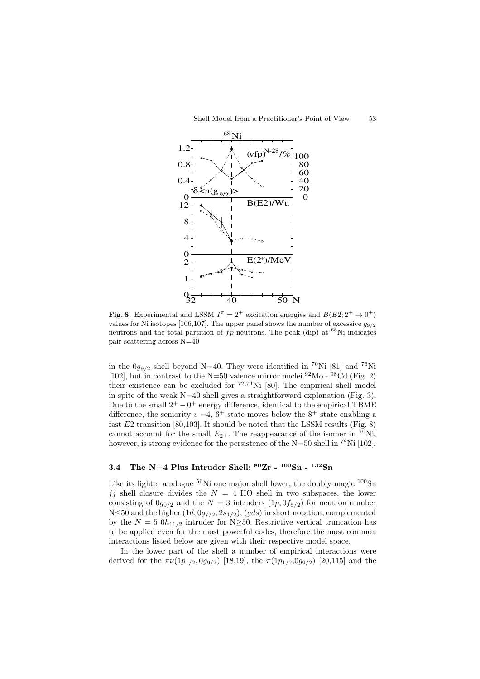

**Fig. 8.** Experimental and LSSM  $I^{\pi} = 2^+$  excitation energies and  $B(E2; 2^+ \rightarrow 0^+)$ values for Ni isotopes [106,107]. The upper panel shows the number of excessive  $g_{9/2}$ neutrons and the total partition of  $fp$  neutrons. The peak (dip) at <sup>68</sup>Ni indicates pair scattering across N=40

in the  $0g_{9/2}$  shell beyond N=40. They were identified in <sup>70</sup>Ni [81] and <sup>76</sup>Ni [102], but in contrast to the N=50 valence mirror nuclei  $^{92}$ Mo -  $^{98}$ Cd (Fig. 2) their existence can be excluded for  ${}^{72,74}$ Ni [80]. The empirical shell model in spite of the weak  $N=40$  shell gives a straightforward explanation (Fig. 3). Due to the small  $2^+ - 0^+$  energy difference, identical to the empirical TBME difference, the seniority  $v = 4$ ,  $6^+$  state moves below the  $8^+$  state enabling a fast  $E2$  transition [80,103]. It should be noted that the LSSM results (Fig. 8) cannot account for the small  $E_{2+}$ . The reappearance of the isomer in  $\frac{76}{11}$ , however, is strong evidence for the persistence of the N=50 shell in <sup>78</sup>Ni [102].

# **3.4 The N=4 Plus Intruder Shell: <sup>80</sup>Zr - <sup>100</sup>Sn - <sup>132</sup>Sn**

Like its lighter analogue  ${}^{56}$ Ni one major shell lower, the doubly magic  ${}^{100}$ Sn jj shell closure divides the  $N = 4$  HO shell in two subspaces, the lower consisting of  $0g_{9/2}$  and the  $N = 3$  intruders  $(1p, 0f_{5/2})$  for neutron number  $N\leq 50$  and the higher  $(1d, 0g_{7/2}, 2s_{1/2}), (gds)$  in short notation, complemented by the  $N = 50h_{11/2}$  intruder for N≥50. Restrictive vertical truncation has to be applied even for the most powerful codes, therefore the most common interactions listed below are given with their respective model space.

In the lower part of the shell a number of empirical interactions were derived for the  $\pi\nu(1p_{1/2}, 0g_{9/2})$  [18,19], the  $\pi(1p_{1/2}, 0g_{9/2})$  [20,115] and the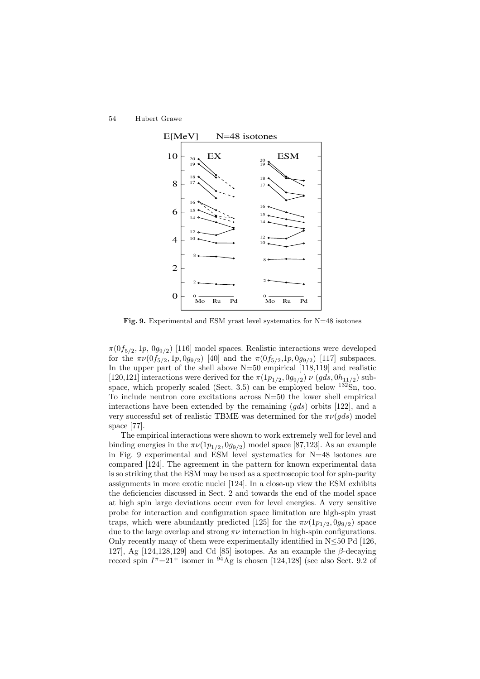

**Fig. 9.** Experimental and ESM yrast level systematics for N=48 isotones

 $\pi(0f_{5/2}, 1p, 0g_{9/2})$  [116] model spaces. Realistic interactions were developed for the  $\pi\nu(0f_{5/2}, 1p, 0g_{9/2})$  [40] and the  $\pi(0f_{5/2}, 1p, 0g_{9/2})$  [117] subspaces. In the upper part of the shell above  $N=50$  empirical  $[118,119]$  and realistic [120,121] interactions were derived for the  $\pi(1p_{1/2}, 0g_{9/2}) \nu$  (gds,  $0h_{11/2}$ ) subspace, which properly scaled (Sect. 3.5) can be employed below  $^{132}Sn$ , too. To include neutron core excitations across  $N=50$  the lower shell empirical interactions have been extended by the remaining (gds) orbits [122], and a very successful set of realistic TBME was determined for the  $\pi\nu(gds)$  model space [77].

The empirical interactions were shown to work extremely well for level and binding energies in the  $\pi\nu(1p_{1/2}, 0g_{9/2})$  model space [87,123]. As an example in Fig. 9 experimental and ESM level systematics for  $N=48$  isotones are compared [124]. The agreement in the pattern for known experimental data is so striking that the ESM may be used as a spectroscopic tool for spin-parity assignments in more exotic nuclei [124]. In a close-up view the ESM exhibits the deficiencies discussed in Sect. 2 and towards the end of the model space at high spin large deviations occur even for level energies. A very sensitive probe for interaction and configuration space limitation are high-spin yrast traps, which were abundantly predicted [125] for the  $\pi\nu(1p_{1/2}, 0q_{9/2})$  space due to the large overlap and strong  $\pi \nu$  interaction in high-spin configurations. Only recently many of them were experimentally identified in  $N\leq 50$  Pd [126, 127], Ag  $[124, 128, 129]$  and Cd  $[85]$  isotopes. As an example the  $\beta$ -decaying record spin  $I^{\pi}$ =21<sup>+</sup> isomer in <sup>94</sup>Ag is chosen [124,128] (see also Sect. 9.2 of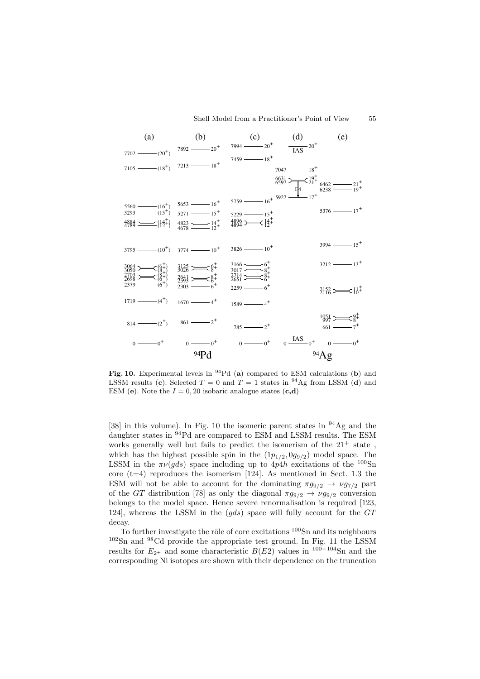

Fig. 10. Experimental levels in <sup>94</sup>Pd (a) compared to ESM calculations (b) and LSSM results (**c**). Selected  $T = 0$  and  $T = 1$  states in <sup>94</sup>Ag from LSSM (**d**) and ESM (**e**). Note the  $I = 0, 20$  isobaric analogue states  $(c,d)$ 

[38] in this volume). In Fig. 10 the isomeric parent states in <sup>94</sup>Ag and the daughter states in <sup>94</sup>Pd are compared to ESM and LSSM results. The ESM works generally well but fails to predict the isomerism of the  $21^+$  state, which has the highest possible spin in the  $(1p_{1/2}, 0g_{9/2})$  model space. The LSSM in the  $\pi\nu(gds)$  space including up to  $4p4h$  excitations of the  $100\text{Sn}$ core  $(t=4)$  reproduces the isomerism [124]. As mentioned in Sect. 1.3 the ESM will not be able to account for the dominating  $\pi g_{9/2} \rightarrow \nu g_{7/2}$  part of the GT distribution [78] as only the diagonal  $\pi g_{9/2} \rightarrow \nu g_{9/2}$  conversion belongs to the model space. Hence severe renormalisation is required [123, 124, whereas the LSSM in the  $(gds)$  space will fully account for the  $GT$ decay.

To further investigate the rôle of core excitations  $100\text{Sn}$  and its neighbours Sn and  $98$ Cd provide the appropriate test ground. In Fig. 11 the LSSM results for  $E_{2+}$  and some characteristic  $B(E2)$  values in <sup>100–104</sup>Sn and the corresponding Ni isotopes are shown with their dependence on the truncation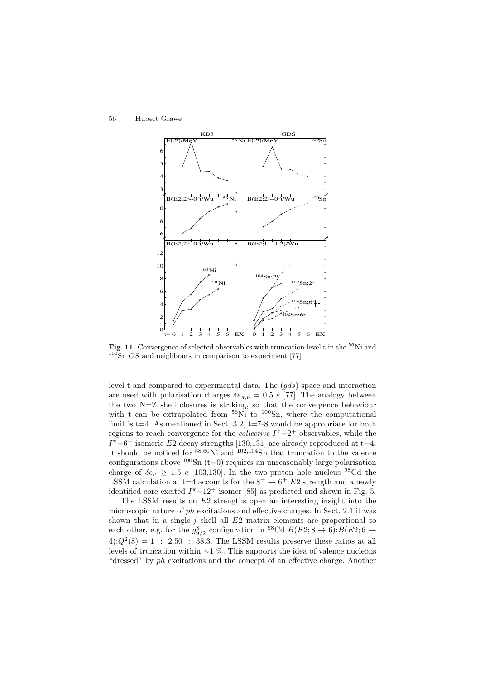

Fig. 11. Convergence of selected observables with truncation level t in the <sup>56</sup>Ni and  $100$ Sn CS and neighbours in comparison to experiment [77]

level t and compared to experimental data. The  $(gds)$  space and interaction are used with polarisation charges  $\delta e_{\pi,\nu} = 0.5 e$  [77]. The analogy between the two N=Z shell closures is striking, so that the convergence behaviour with t can be extrapolated from  ${}^{56}$ Ni to  ${}^{100}$ Sn, where the computational limit is  $t=4$ . As mentioned in Sect. 3.2,  $t=7-8$  would be appropriate for both regions to reach convergence for the *collective*  $I^{\pi}$ =2<sup>+</sup> observables, while the  $I^{\pi}=6^+$  isomeric E2 decay strengths [130,131] are already reproduced at t=4. It should be noticed for <sup>58</sup>,<sup>60</sup>Ni and <sup>102</sup>,<sup>104</sup>Sn that truncation to the valence configurations above  $100\text{Sn}$  (t=0) requires an unreasonably large polarisation charge of  $\delta e_{\nu} \geq 1.5$  e [103,130]. In the two-proton hole nucleus <sup>98</sup>Cd the LSSM calculation at t=4 accounts for the  $8^+ \rightarrow 6^+$  E2 strength and a newly identified core excited  $I^{\pi}$ =12<sup>+</sup> isomer [85] as predicted and shown in Fig. 5.

The LSSM results on E2 strengths open an interesting insight into the microscopic nature of ph excitations and effective charges. In Sect. 2.1 it was shown that in a single- $j$  shell all  $E2$  matrix elements are proportional to each other, e.g. for the  $g_{9/2}^8$  configuration in <sup>98</sup>Cd  $B(E2; 8 \rightarrow 6)$ : $B(E2; 6 \rightarrow$  $4):Q<sup>2</sup>(8) = 1 : 2.50 : 38.3$ . The LSSM results preserve these ratios at all levels of truncation within ∼1 %. This supports the idea of valence nucleons "dressed" by ph excitations and the concept of an effective charge. Another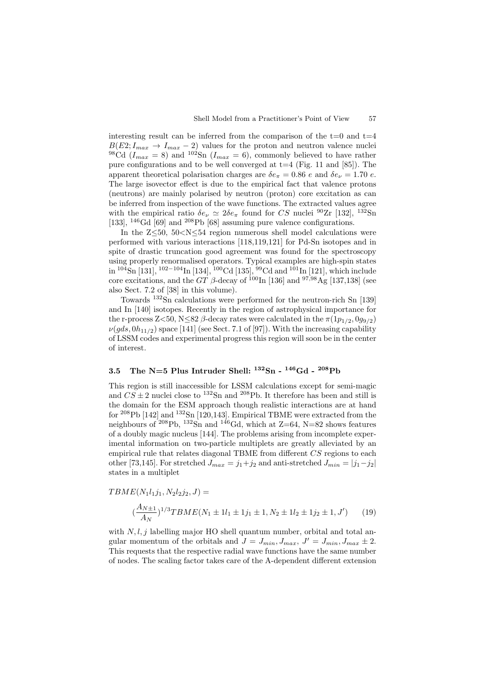interesting result can be inferred from the comparison of the  $t=0$  and  $t=4$  $B(E2; I_{max} \rightarrow I_{max} - 2)$  values for the proton and neutron valence nuclei <sup>98</sup>Cd ( $I_{max} = 8$ ) and <sup>102</sup>Sn ( $I_{max} = 6$ ), commonly believed to have rather pure configurations and to be well converged at  $t=4$  (Fig. 11 and [85]). The apparent theoretical polarisation charges are  $\delta e_{\pi} = 0.86 e$  and  $\delta e_{\nu} = 1.70 e$ . The large isovector effect is due to the empirical fact that valence protons (neutrons) are mainly polarised by neutron (proton) core excitation as can be inferred from inspection of the wave functions. The extracted values agree with the empirical ratio  $\delta e_{\nu} \simeq 2 \delta e_{\pi}$  found for CS nuclei  $^{90}Zr$  [132],  $^{132}Sn$ [133], <sup>146</sup>Gd [69] and <sup>208</sup>Pb [68] assuming pure valence configurations.

In the Z≤50, 50<N≤54 region numerous shell model calculations were performed with various interactions [118,119,121] for Pd-Sn isotopes and in spite of drastic truncation good agreement was found for the spectroscopy using properly renormalised operators. Typical examples are high-spin states in <sup>104</sup>Sn [131], <sup>102</sup>−<sup>104</sup>In [134], <sup>100</sup>Cd [135], <sup>99</sup>Cd and <sup>101</sup>In [121], which include core excitations, and the  $GT$  β-decay of  $^{100}$ In [136] and  $^{97,98}$ Ag [137,138] (see also Sect. 7.2 of [38] in this volume).

Towards <sup>132</sup>Sn calculations were performed for the neutron-rich Sn [139] and In [140] isotopes. Recently in the region of astrophysical importance for the r-process Z<50, N $\leq$ 82  $\beta$ -decay rates were calculated in the  $\pi(1p_{1/2}, 0q_{9/2})$  $\nu(qds, 0h_{11/2})$  space [141] (see Sect. 7.1 of [97]). With the increasing capability of LSSM codes and experimental progress this region will soon be in the center of interest.

### **3.5 The N=5 Plus Intruder Shell: <sup>132</sup>Sn - <sup>146</sup>Gd - <sup>208</sup>Pb**

This region is still inaccessible for LSSM calculations except for semi-magic and  $CS \pm 2$  nuclei close to <sup>132</sup>Sn and <sup>208</sup>Pb. It therefore has been and still is the domain for the ESM approach though realistic interactions are at hand for  $208Pb$  [142] and  $132Sn$  [120,143]. Empirical TBME were extracted from the neighbours of  $^{208}$ Pb,  $^{132}$ Sn and  $^{146}$ Gd, which at Z=64, N=82 shows features of a doubly magic nucleus [144]. The problems arising from incomplete experimental information on two-particle multiplets are greatly alleviated by an empirical rule that relates diagonal TBME from different  $CS$  regions to each other [73,145]. For stretched  $J_{max} = j_1 + j_2$  and anti-stretched  $J_{min} = |j_1 - j_2|$ states in a multiplet

$$
TBME(N_1l_1j_1, N_2l_2j_2, J) =
$$
  

$$
(\frac{A_{N\pm 1}}{A_N})^{1/3} TBME(N_1 \pm 1l_1 \pm 1j_1 \pm 1, N_2 \pm 1l_2 \pm 1j_2 \pm 1, J')
$$
 (19)

with  $N, l, j$  labelling major HO shell quantum number, orbital and total angular momentum of the orbitals and  $J = J_{min}, J_{max}, J' = J_{min}, J_{max} \pm 2$ . This requests that the respective radial wave functions have the same number of nodes. The scaling factor takes care of the A-dependent different extension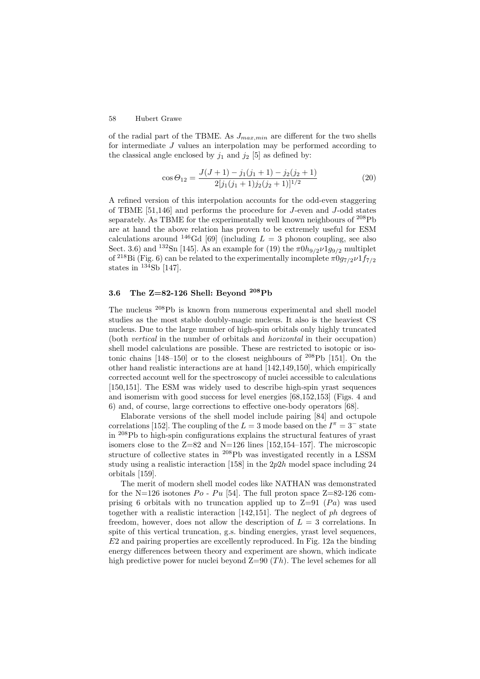of the radial part of the TBME. As  $J_{max,min}$  are different for the two shells for intermediate J values an interpolation may be performed according to the classical angle enclosed by  $j_1$  and  $j_2$  [5] as defined by:

$$
\cos \Theta_{12} = \frac{J(J+1) - j_1(j_1+1) - j_2(j_2+1)}{2[j_1(j_1+1)j_2(j_2+1)]^{1/2}} \tag{20}
$$

A refined version of this interpolation accounts for the odd-even staggering of TBME [51,146] and performs the procedure for J-even and J-odd states separately. As TBME for the experimentally well known neighbours of  $^{208}Pb$ are at hand the above relation has proven to be extremely useful for ESM calculations around <sup>146</sup>Gd [69] (including  $L = 3$  phonon coupling, see also Sect. 3.6) and <sup>132</sup>Sn [145]. As an example for (19) the  $\pi 0h_{9/2}\nu 1g_{9/2}$  multiplet of <sup>218</sup>Bi (Fig. 6) can be related to the experimentally incomplete  $\pi 0g_{7/2} \nu 1f_{7/2}$ states in  $^{134}Sb$  [147].

### **3.6 The Z=82-126 Shell: Beyond <sup>208</sup>Pb**

The nucleus <sup>208</sup>Pb is known from numerous experimental and shell model studies as the most stable doubly-magic nucleus. It also is the heaviest CS nucleus. Due to the large number of high-spin orbitals only highly truncated (both *vertical* in the number of orbitals and *horizontal* in their occupation) shell model calculations are possible. These are restricted to isotopic or isotonic chains  $[148-150]$  or to the closest neighbours of  $^{208}Pb$  [151]. On the other hand realistic interactions are at hand [142,149,150], which empirically corrected account well for the spectroscopy of nuclei accessible to calculations [150,151]. The ESM was widely used to describe high-spin yrast sequences and isomerism with good success for level energies [68,152,153] (Figs. 4 and 6) and, of course, large corrections to effective one-body operators [68].

Elaborate versions of the shell model include pairing [84] and octupole correlations [152]. The coupling of the  $L = 3$  mode based on the  $I^{\pi} = 3^-$  state in <sup>208</sup>Pb to high-spin configurations explains the structural features of yrast isomers close to the  $Z=82$  and  $N=126$  lines [152,154–157]. The microscopic structure of collective states in <sup>208</sup>Pb was investigated recently in a LSSM study using a realistic interaction [158] in the  $2p2h$  model space including 24 orbitals [159].

The merit of modern shell model codes like NATHAN was demonstrated for the N=126 isotones  $Po$  -  $Pu$  [54]. The full proton space Z=82-126 comprising 6 orbitals with no truncation applied up to  $Z=91$  (Pa) was used together with a realistic interaction [142,151]. The neglect of ph degrees of freedom, however, does not allow the description of  $L = 3$  correlations. In spite of this vertical truncation, g.s. binding energies, yrast level sequences, E2 and pairing properties are excellently reproduced. In Fig. 12a the binding energy differences between theory and experiment are shown, which indicate high predictive power for nuclei beyond  $Z=90$  (Th). The level schemes for all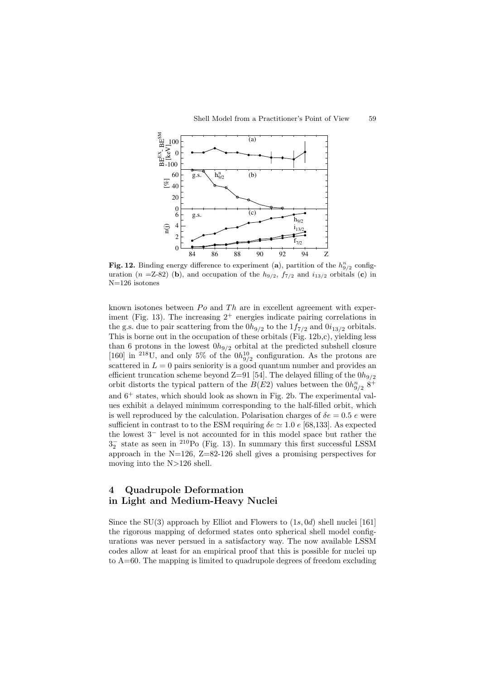

**Fig. 12.** Binding energy difference to experiment (a), partition of the  $h_{9/2}^n$  configuration (n = Z-82) (b), and occupation of the  $h_{9/2}$ ,  $f_{7/2}$  and  $i_{13/2}$  orbitals (c) in N=126 isotones

known isotones between  $Po$  and  $Th$  are in excellent agreement with experiment (Fig. 13). The increasing  $2^+$  energies indicate pairing correlations in the g.s. due to pair scattering from the  $0h_{9/2}$  to the  $1f_{7/2}$  and  $0i_{13/2}$  orbitals. This is borne out in the occupation of these orbitals (Fig. 12b,c), yielding less than 6 protons in the lowest  $0h_{9/2}$  orbital at the predicted subshell closure [160] in <sup>218</sup>U, and only 5% of the  $0h_{9/2}^{10}$  configuration. As the protons are scattered in  $L = 0$  pairs seniority is a good quantum number and provides an efficient truncation scheme beyond Z=91 [54]. The delayed filling of the  $0h_{9/2}$ orbit distorts the typical pattern of the  $B(E2)$  values between the  $0h_{9/2}^n 8^+$ and  $6^+$  states, which should look as shown in Fig. 2b. The experimental values exhibit a delayed minimum corresponding to the half-filled orbit, which is well reproduced by the calculation. Polarisation charges of  $\delta e = 0.5 e$  were sufficient in contrast to to the ESM requiring  $\delta e \simeq 1.0 \ e$  [68,133]. As expected the lowest 3<sup>−</sup> level is not accounted for in this model space but rather the  $3<sub>2</sub><sup>-</sup>$  state as seen in <sup>210</sup>Po (Fig. 13). In summary this first successful LSSM approach in the  $N=126$ ,  $Z=82-126$  shell gives a promising perspectives for moving into the N>126 shell.

## **4 Quadrupole Deformation in Light and Medium-Heavy Nuclei**

Since the SU(3) approach by Elliot and Flowers to  $(1s, 0d)$  shell nuclei [161] the rigorous mapping of deformed states onto spherical shell model configurations was never persued in a satisfactory way. The now available LSSM codes allow at least for an empirical proof that this is possible for nuclei up to  $A=60$ . The mapping is limited to quadrupole degrees of freedom excluding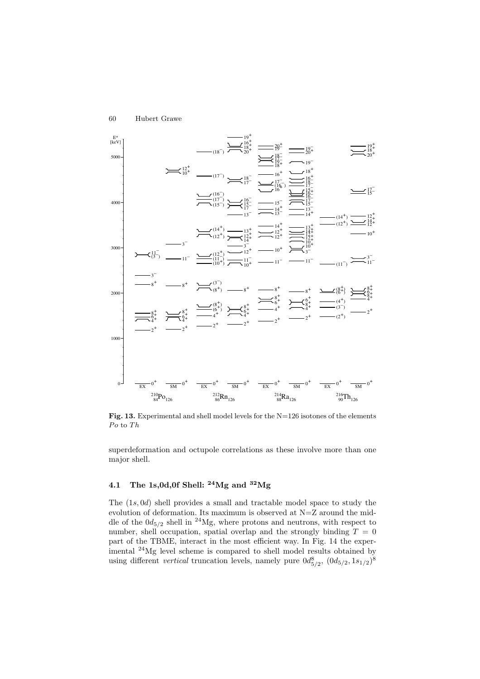

**Fig. 13.** Experimental and shell model levels for the N=126 isotones of the elements  $Po$  to  $Th$ 

superdeformation and octupole correlations as these involve more than one major shell.

### **4.1 The 1s,0d,0f Shell: <sup>24</sup>Mg and <sup>32</sup>Mg**

The (1s, 0d) shell provides a small and tractable model space to study the evolution of deformation. Its maximum is observed at N=Z around the middle of the  $0d_{5/2}$  shell in <sup>24</sup>Mg, where protons and neutrons, with respect to number, shell occupation, spatial overlap and the strongly binding  $T = 0$ part of the TBME, interact in the most efficient way. In Fig. 14 the experimental <sup>24</sup>Mg level scheme is compared to shell model results obtained by using different *vertical* truncation levels, namely pure  $0d_{5/2}^8$ ,  $(0d_{5/2}, 1s_{1/2})^8$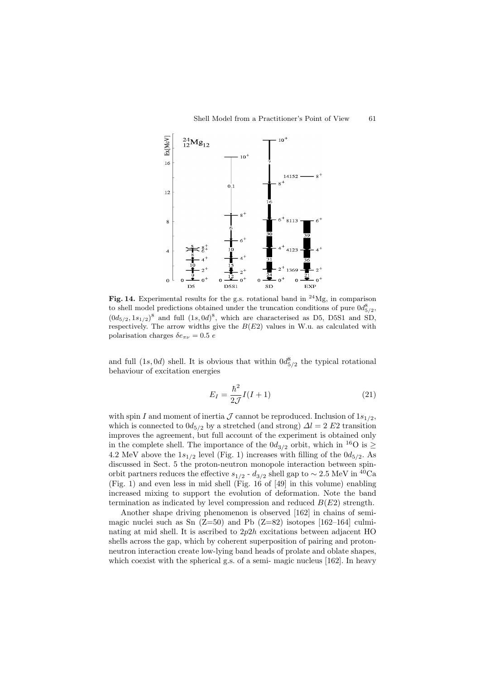

Fig. 14. Experimental results for the g.s. rotational band in <sup>24</sup>Mg, in comparison to shell model predictions obtained under the truncation conditions of pure  $0d_{5/2}^{8}$ ,  $(0d_{5/2}, 1s_{1/2})^8$  and full  $(1s, 0d)^8$ , which are characterised as D5, D5S1 and SD, respectively. The arrow widths give the  $B(E2)$  values in W.u. as calculated with polarisation charges  $\delta e_{\pi\nu} = 0.5 e$ 

and full  $(1s, 0d)$  shell. It is obvious that within  $0d_{5/2}^8$  the typical rotational behaviour of excitation energies

$$
E_I = \frac{\hbar^2}{2\mathcal{J}}I(I+1) \tag{21}
$$

with spin I and moment of inertia J cannot be reproduced. Inclusion of  $1s_{1/2}$ , which is connected to  $0d_{5/2}$  by a stretched (and strong)  $\Delta l = 2 E2$  transition improves the agreement, but full account of the experiment is obtained only in the complete shell. The importance of the  $0d_{3/2}$  orbit, which in <sup>16</sup>O is  $\geq$ 4.2 MeV above the  $1s_{1/2}$  level (Fig. 1) increases with filling of the  $0d_{5/2}$ . As discussed in Sect. 5 the proton-neutron monopole interaction between spinorbit partners reduces the effective  $s_{1/2}$  -  $d_{3/2}$  shell gap to  $\sim 2.5$  MeV in <sup>40</sup>Ca (Fig. 1) and even less in mid shell (Fig. 16 of [49] in this volume) enabling increased mixing to support the evolution of deformation. Note the band termination as indicated by level compression and reduced  $B(E2)$  strength.

Another shape driving phenomenon is observed [162] in chains of semimagic nuclei such as Sn  $(Z=50)$  and Pb  $(Z=82)$  isotopes [162-164] culminating at mid shell. It is ascribed to  $2p2h$  excitations between adjacent HO shells across the gap, which by coherent superposition of pairing and protonneutron interaction create low-lying band heads of prolate and oblate shapes, which coexist with the spherical g.s. of a semi- magic nucleus [162]. In heavy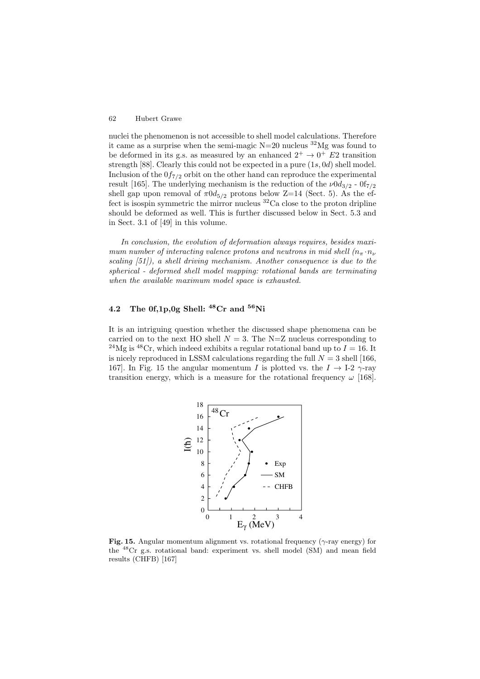nuclei the phenomenon is not accessible to shell model calculations. Therefore it came as a surprise when the semi-magic  $N=20$  nucleus  $32Mg$  was found to be deformed in its g.s. as measured by an enhanced  $2^+ \rightarrow 0^+$  E2 transition strength [88]. Clearly this could not be expected in a pure  $(1s, 0d)$  shell model. Inclusion of the  $0f_{7/2}$  orbit on the other hand can reproduce the experimental result [165]. The underlying mechanism is the reduction of the  $\nu 0d_{3/2}$  -  $0f_{7/2}$ shell gap upon removal of  $\pi 0d_{5/2}$  protons below Z=14 (Sect. 5). As the effect is isospin symmetric the mirror nucleus  ${}^{32}$ Ca close to the proton dripline should be deformed as well. This is further discussed below in Sect. 5.3 and in Sect. 3.1 of [49] in this volume.

*In conclusion, the evolution of deformation always requires, besides maximum number of interacting valence protons and neutrons in mid shell*  $(n_{\pi} \cdot n_{\nu})$ *scaling [51]), a shell driving mechanism. Another consequence is due to the spherical - deformed shell model mapping: rotational bands are terminating when the available maximum model space is exhausted.*

## **4.2 The 0f,1p,0g Shell: <sup>48</sup>Cr and <sup>56</sup>Ni**

It is an intriguing question whether the discussed shape phenomena can be carried on to the next HO shell  $N = 3$ . The N=Z nucleus corresponding to <sup>24</sup>Mg is <sup>48</sup>Cr, which indeed exhibits a regular rotational band up to  $I = 16$ . It is nicely reproduced in LSSM calculations regarding the full  $N = 3$  shell [166,] 167]. In Fig. 15 the angular momentum I is plotted vs. the  $I \rightarrow I-2$   $\gamma$ -ray transition energy, which is a measure for the rotational frequency  $\omega$  [168].



**Fig. 15.** Angular momentum alignment vs. rotational frequency ( $\gamma$ -ray energy) for the <sup>48</sup>Cr g.s. rotational band: experiment vs. shell model (SM) and mean field results (CHFB) [167]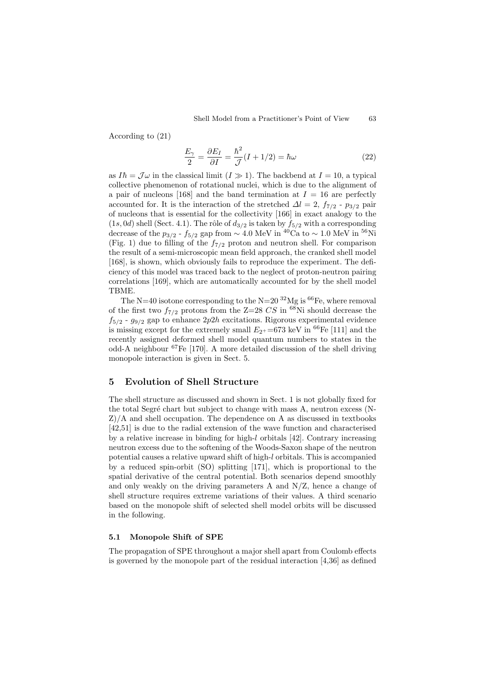According to (21)

$$
\frac{E_{\gamma}}{2} = \frac{\partial E_I}{\partial I} = \frac{\hbar^2}{\mathcal{J}} (I + 1/2) = \hbar \omega \tag{22}
$$

as  $I\hbar = \mathcal{J}\omega$  in the classical limit  $(I \gg 1)$ . The backbend at  $I = 10$ , a typical collective phenomenon of rotational nuclei, which is due to the alignment of a pair of nucleons [168] and the band termination at  $I = 16$  are perfectly accounted for. It is the interaction of the stretched  $\Delta l = 2$ ,  $f_{7/2}$  -  $p_{3/2}$  pair of nucleons that is essential for the collectivity [166] in exact analogy to the  $(1s, 0d)$  shell (Sect. 4.1). The rôle of  $d_{3/2}$  is taken by  $f_{5/2}$  with a corresponding decrease of the  $p_{3/2}$  -  $f_{5/2}$  gap from ∼ 4.0 MeV in <sup>40</sup>Ca to ~ 1.0 MeV in <sup>56</sup>Ni (Fig. 1) due to filling of the  $f_{7/2}$  proton and neutron shell. For comparison the result of a semi-microscopic mean field approach, the cranked shell model [168], is shown, which obviously fails to reproduce the experiment. The deficiency of this model was traced back to the neglect of proton-neutron pairing correlations [169], which are automatically accounted for by the shell model TBME.

The N=40 isotone corresponding to the N=20  $^{32}$ Mg is  $^{66}$ Fe, where removal of the first two  $f_{7/2}$  protons from the Z=28 CS in <sup>68</sup>Ni should decrease the  $f_{5/2}$  -  $g_{9/2}$  gap to enhance  $2p2h$  excitations. Rigorous experimental evidence is missing except for the extremely small  $E_{2+}$  =673 keV in <sup>66</sup>Fe [111] and the recently assigned deformed shell model quantum numbers to states in the odd-A neighbour <sup>67</sup>Fe [170]. A more detailed discussion of the shell driving monopole interaction is given in Sect. 5.

### **5 Evolution of Shell Structure**

The shell structure as discussed and shown in Sect. 1 is not globally fixed for the total Segré chart but subject to change with mass  $A$ , neutron excess (N-Z)/A and shell occupation. The dependence on A as discussed in textbooks [42,51] is due to the radial extension of the wave function and characterised by a relative increase in binding for high-l orbitals [42]. Contrary increasing neutron excess due to the softening of the Woods-Saxon shape of the neutron potential causes a relative upward shift of high-l orbitals. This is accompanied by a reduced spin-orbit (SO) splitting [171], which is proportional to the spatial derivative of the central potential. Both scenarios depend smoothly and only weakly on the driving parameters A and N/Z, hence a change of shell structure requires extreme variations of their values. A third scenario based on the monopole shift of selected shell model orbits will be discussed in the following.

#### **5.1 Monopole Shift of SPE**

The propagation of SPE throughout a major shell apart from Coulomb effects is governed by the monopole part of the residual interaction [4,36] as defined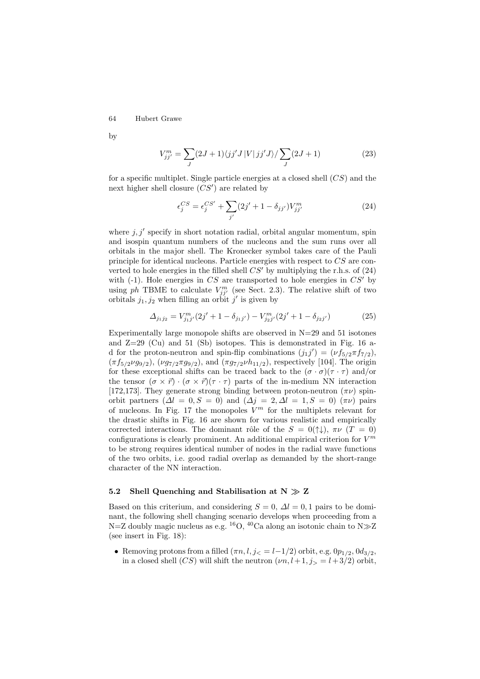by

$$
V_{jj'}^m = \sum_{J} (2J+1) \langle jj'J \, |V| \, jj'J \rangle / \sum_{J} (2J+1) \tag{23}
$$

for a specific multiplet. Single particle energies at a closed shell  $(CS)$  and the next higher shell closure  $(CS')$  are related by

$$
\epsilon_j^{CS} = \epsilon_j^{CS'} + \sum_{j'} (2j' + 1 - \delta_{jj'}) V_{jj'}^m \tag{24}
$$

where  $j, j'$  specify in short notation radial, orbital angular momentum, spin and isospin quantum numbers of the nucleons and the sum runs over all orbitals in the major shell. The Kronecker symbol takes care of the Pauli principle for identical nucleons. Particle energies with respect to CS are converted to hole energies in the filled shell  $CS'$  by multiplying the r.h.s. of  $(24)$ with  $(-1)$ . Hole energies in CS are transported to hole energies in CS' by using ph TBME to calculate  $V_{jj'}^m$  (see Sect. 2.3). The relative shift of two orbitals  $j_1, j_2$  when filling an orbit  $j'$  is given by

$$
\Delta_{j_1 j_2} = V_{j_1 j'}^m (2j' + 1 - \delta_{j_1 j'}) - V_{j_2 j'}^m (2j' + 1 - \delta_{j_2 j'}) \tag{25}
$$

Experimentally large monopole shifts are observed in  $N=29$  and 51 isotones and Z=29 (Cu) and 51 (Sb) isotopes. This is demonstrated in Fig. 16 ad for the proton-neutron and spin-flip combinations  $(j_1 j') = (\nu f_{5/2} \pi f_{7/2}),$  $(\pi f_{5/2} \nu g_{9/2}), (\nu g_{7/2} \pi g_{9/2}),$  and  $(\pi g_{7/2} \nu h_{11/2}),$  respectively [104]. The origin for these exceptional shifts can be traced back to the  $(\sigma \cdot \sigma)(\tau \cdot \tau)$  and/or the tensor  $(\sigma \times \vec{r}) \cdot (\sigma \times \vec{r})(\tau \cdot \tau)$  parts of the in-medium NN interaction [172,173]. They generate strong binding between proton-neutron  $(\pi \nu)$  spinorbit partners  $(\Delta l = 0, S = 0)$  and  $(\Delta j = 2, \Delta l = 1, S = 0)$   $(\pi \nu)$  pairs of nucleons. In Fig. 17 the monopoles  $V^m$  for the multiplets relevant for the drastic shifts in Fig. 16 are shown for various realistic and empirically corrected interactions. The dominant rôle of the  $S = 0(\uparrow\downarrow), \pi\nu$  (T = 0) configurations is clearly prominent. An additional empirical criterion for  $V<sup>m</sup>$ to be strong requires identical number of nodes in the radial wave functions of the two orbits, i.e. good radial overlap as demanded by the short-range character of the NN interaction.

#### **5.2** Shell Quenching and Stabilisation at  $N \gg Z$

Based on this criterium, and considering  $S = 0$ ,  $\Delta l = 0$ , 1 pairs to be dominant, the following shell changing scenario develops when proceeding from a N=Z doubly magic nucleus as e.g. <sup>16</sup>O, <sup>40</sup>Ca along an isotonic chain to N $\gg$ Z (see insert in Fig. 18):

• Removing protons from a filled  $(\pi n, l, j_{<} = l - 1/2)$  orbit, e.g.  $0p_{1/2}, 0d_{3/2}$ , in a closed shell  $(CS)$  will shift the neutron  $(\nu n, l+1, j_{>} = l+3/2)$  orbit,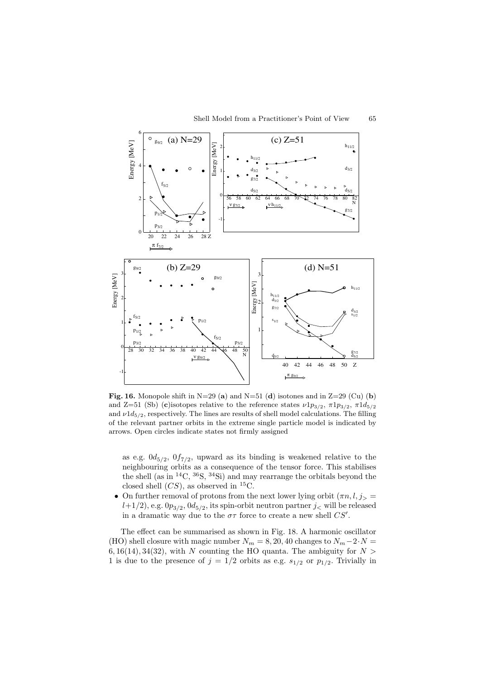

**Fig. 16.** Monopole shift in N=29 (a) and N=51 (d) isotones and in Z=29 (Cu) (b) and Z=51 (Sb) (**c**)isotopes relative to the reference states  $\nu_1p_{3/2}$ ,  $\pi_1p_{3/2}$ ,  $\pi_1d_{5/2}$ and  $\nu 1d_{5/2}$ , respectively. The lines are results of shell model calculations. The filling of the relevant partner orbits in the extreme single particle model is indicated by arrows. Open circles indicate states not firmly assigned

as e.g.  $0d_{5/2}$ ,  $0f_{7/2}$ , upward as its binding is weakened relative to the neighbouring orbits as a consequence of the tensor force. This stabilises the shell (as in  $^{14}C$ ,  $^{36}S$ ,  $^{34}Si$ ) and may rearrange the orbitals beyond the closed shell  $(CS)$ , as observed in <sup>15</sup>C.

• On further removal of protons from the next lower lying orbit  $(\pi n, l, j)$  $l+1/2$ , e.g.  $0p_{3/2}$ ,  $0d_{5/2}$ , its spin-orbit neutron partner  $j<sub>lt</sub>$  will be released in a dramatic way due to the  $\sigma\tau$  force to create a new shell CS'.

The effect can be summarised as shown in Fig. 18. A harmonic oscillator (HO) shell closure with magic number  $N_m = 8, 20, 40$  changes to  $N_m - 2 \cdot N =$ 6, 16(14), 34(32), with N counting the HO quanta. The ambiguity for  $N >$ 1 is due to the presence of  $j = 1/2$  orbits as e.g.  $s_{1/2}$  or  $p_{1/2}$ . Trivially in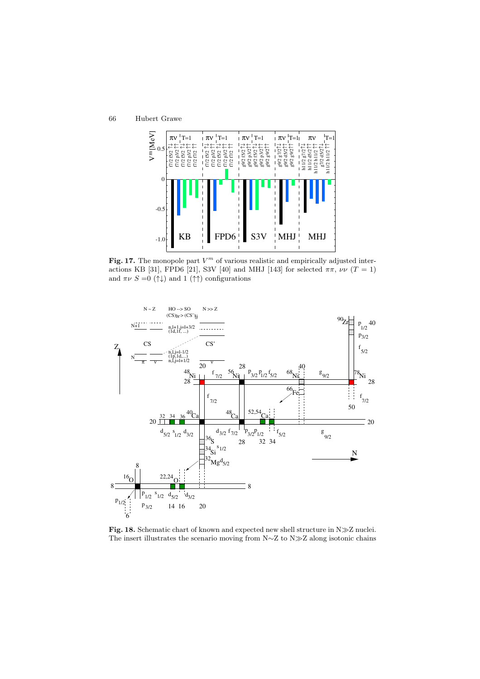

**Fig. 17.** The monopole part  $V<sup>m</sup>$  of various realistic and empirically adjusted interactions KB [31], FPD6 [21], S3V [40] and MHJ [143] for selected  $\pi\pi$ ,  $\nu\nu$  (T = 1) and  $\pi \nu S = 0$  ( $\uparrow \downarrow$ ) and 1 ( $\uparrow \uparrow$ ) configurations



**Fig. 18.** Schematic chart of known and expected new shell structure in N $\gg$ Z nuclei. The insert illustrates the scenario moving from  $N\sim Z$  to  $N\gg Z$  along isotonic chains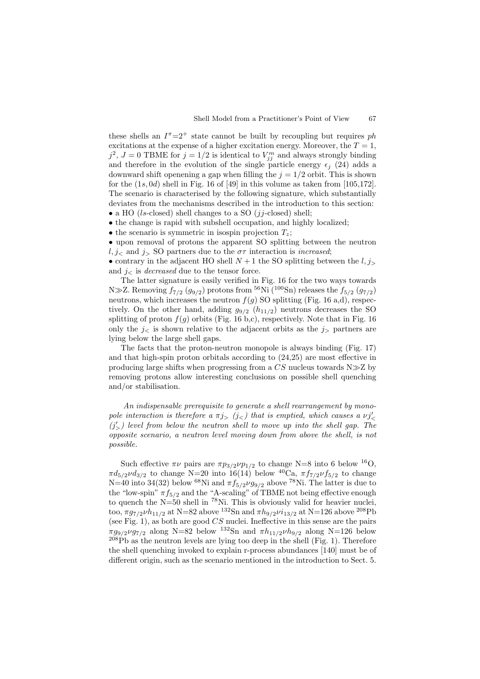these shells an  $I^{\pi}$ =2<sup>+</sup> state cannot be built by recoupling but requires ph excitations at the expense of a higher excitation energy. Moreover, the  $T = 1$ ,  $j^2$ ,  $J = 0$  TBME for  $j = 1/2$  is identical to  $V_{jj}^m$  and always strongly binding and therefore in the evolution of the single particle energy  $\epsilon_i$  (24) adds a downward shift openening a gap when filling the  $j = 1/2$  orbit. This is shown for the  $(1s, 0d)$  shell in Fig. 16 of [49] in this volume as taken from [105,172]. The scenario is characterised by the following signature, which substantially deviates from the mechanisms described in the introduction to this section: • a HO (ls-closed) shell changes to a SO ( $jj$ -closed) shell;

- the change is rapid with subshell occupation, and highly localized;
- the scenario is symmetric in isospin projection  $T_z$ ;
- upon removal of protons the apparent SO splitting between the neutron l,  $j<sub>0</sub>$  and  $j<sub>0</sub>$  SO partners due to the  $\sigma\tau$  interaction is *increased*;
- contrary in the adjacent HO shell  $N+1$  the SO splitting between the  $l, j$ , and  $j<sub>z</sub>$  is *decreased* due to the tensor force.

The latter signature is easily verified in Fig. 16 for the two ways towards N $\gg$ Z. Removing  $f_{7/2}$  ( $g_{9/2}$ ) protons from <sup>56</sup>Ni (<sup>100</sup>Sn) releases the  $f_{5/2}$  ( $g_{7/2}$ ) neutrons, which increases the neutron  $f(q)$  SO splitting (Fig. 16 a,d), respectively. On the other hand, adding  $g_{9/2}$   $(h_{11/2})$  neutrons decreases the SO splitting of proton  $f(g)$  orbits (Fig. 16 b,c), respectively. Note that in Fig. 16 only the  $j<sub>0</sub>$  is shown relative to the adjacent orbits as the  $j<sub>0</sub>$  partners are lying below the large shell gaps.

The facts that the proton-neutron monopole is always binding (Fig. 17) and that high-spin proton orbitals according to (24,25) are most effective in producing large shifts when progressing from a  $CS$  nucleus towards  $N\gg Z$  by removing protons allow interesting conclusions on possible shell quenching and/or stabilisation.

*An indispensable prerequisite to generate a shell rearrangement by monopole interaction is therefore a*  $\pi j$ ,  $(j_<$ ) that is emptied, which causes a  $\nu j_<'$  $(j'_{>} )$  level from below the neutron shell to move up into the shell gap. The *opposite scenario, a neutron level moving down from above the shell, is not possible.*

Such effective  $\pi\nu$  pairs are  $\pi p_{3/2} \nu p_{1/2}$  to change N=8 into 6 below <sup>16</sup>O,  $\pi d_{5/2} \nu d_{3/2}$  to change N=20 into 16(14) below <sup>40</sup>Ca,  $\pi f_{7/2} \nu f_{5/2}$  to change N=40 into 34(32) below <sup>68</sup>Ni and  $\pi f_{5/2} \nu g_{9/2}$  above <sup>78</sup>Ni. The latter is due to the "low-spin"  $\pi f_{5/2}$  and the "A-scaling" of TBME not being effective enough to quench the  $N=50$  shell in <sup>78</sup>Ni. This is obviously valid for heavier nuclei, too,  $\pi g_{7/2} \nu h_{11/2}$  at N=82 above  $^{132}$ Sn and  $\pi h_{9/2} \nu i_{13/2}$  at N=126 above  $^{208}$ Pb (see Fig. 1), as both are good  $CS$  nuclei. Ineffective in this sense are the pairs  $\pi g_{9/2} \nu g_{7/2}$  along N=82 below  $132$ Sn and  $\pi h_{11/2} \nu h_{9/2}$  along N=126 below  $^{208}\text{Pb}$  as the neutron levels are lying too deep in the shell (Fig. 1). Therefore the shell quenching invoked to explain r-process abundances [140] must be of different origin, such as the scenario mentioned in the introduction to Sect. 5.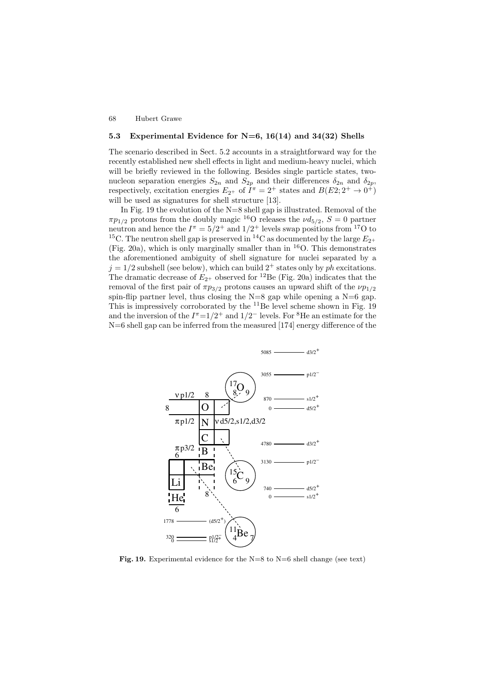#### **5.3 Experimental Evidence for N=6, 16(14) and 34(32) Shells**

The scenario described in Sect. 5.2 accounts in a straightforward way for the recently established new shell effects in light and medium-heavy nuclei, which will be briefly reviewed in the following. Besides single particle states, twonucleon separation energies  $S_{2n}$  and  $S_{2p}$  and their differences  $\delta_{2n}$  and  $\delta_{2p}$ , respectively, excitation energies  $E_{2+}$  of  $I^{\pi} = 2^+$  states and  $B(E2; 2^+ \rightarrow 0^+)$ will be used as signatures for shell structure [13].

In Fig. 19 the evolution of the  $N=8$  shell gap is illustrated. Removal of the  $\pi p_{1/2}$  protons from the doubly magic <sup>16</sup>O releases the  $\nu d_{5/2}$ ,  $S = 0$  partner neutron and hence the  $I^{\pi} = 5/2^{+}$  and  $1/2^{+}$  levels swap positions from <sup>17</sup>O to <sup>15</sup>C. The neutron shell gap is preserved in <sup>14</sup>C as documented by the large  $E_{2+}$ (Fig. 20a), which is only marginally smaller than in  $^{16}$ O. This demonstrates the aforementioned ambiguity of shell signature for nuclei separated by a  $j = 1/2$  subshell (see below), which can build  $2^+$  states only by ph excitations. The dramatic decrease of  $E_{2+}$  observed for <sup>12</sup>Be (Fig. 20a) indicates that the removal of the first pair of  $\pi p_{3/2}$  protons causes an upward shift of the  $\nu p_{1/2}$ spin-flip partner level, thus closing the  $N=8$  gap while opening a  $N=6$  gap. This is impressively corroborated by the  $^{11}$ Be level scheme shown in Fig. 19 and the inversion of the  $I^{\pi}=1/2^+$  and  $1/2^-$  levels. For <sup>8</sup>He an estimate for the N=6 shell gap can be inferred from the measured [174] energy difference of the



**Fig. 19.** Experimental evidence for the N=8 to N=6 shell change (see text)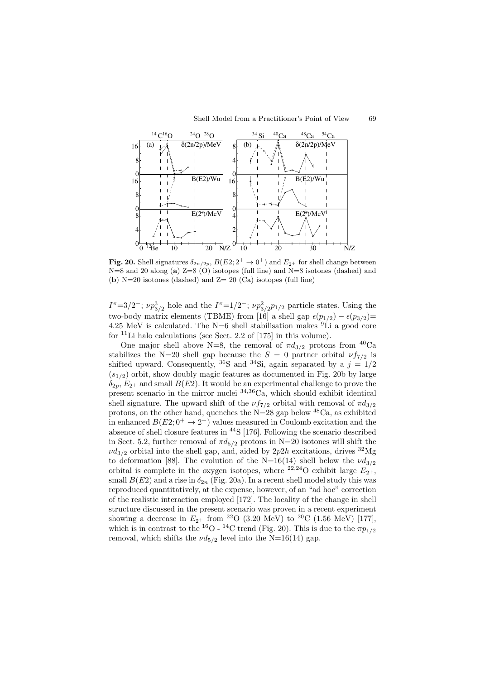

**Fig. 20.** Shell signatures  $\delta_{2n/2p}$ ,  $B(E2; 2^+ \rightarrow 0^+)$  and  $E_{2+}$  for shell change between N=8 and 20 along (**a**)  $Z=8$  (O) isotopes (full line) and N=8 isotones (dashed) and (**b**)  $N=20$  isotones (dashed) and  $Z=20$  (Ca) isotopes (full line)

 $I^{\pi}$ =3/2<sup>-</sup>;  $\nu p_{3/2}^3$  hole and the  $I^{\pi}$ =1/2<sup>-</sup>;  $\nu p_{3/2}^2 p_{1/2}$  particle states. Using the two-body matrix elements (TBME) from [16] a shell gap  $\epsilon(p_{1/2}) - \epsilon(p_{3/2})=$ 4.25 MeV is calculated. The N=6 shell stabilisation makes  ${}^{9}$ Li a good core for  $11$ Li halo calculations (see Sect. 2.2 of [175] in this volume).

One major shell above N=8, the removal of  $\pi d_{3/2}$  protons from <sup>40</sup>Ca stabilizes the N=20 shell gap because the  $S = 0$  partner orbital  $\nu f_{7/2}$  is shifted upward. Consequently, <sup>36</sup>S and <sup>34</sup>Si, again separated by a  $j = 1/2$  $(s_{1/2})$  orbit, show doubly magic features as documented in Fig. 20b by large  $\delta_{2p}$ ,  $E_{2+}$  and small  $B(E2)$ . It would be an experimental challenge to prove the present scenario in the mirror nuclei <sup>34</sup>,<sup>36</sup>Ca, which should exhibit identical shell signature. The upward shift of the  $\nu f_{7/2}$  orbital with removal of  $\pi d_{3/2}$ protons, on the other hand, quenches the  $N=28$  gap below <sup>48</sup>Ca, as exhibited in enhanced  $B(E2; 0^+ \rightarrow 2^+)$  values measured in Coulomb excitation and the absence of shell closure features in <sup>44</sup>S [176]. Following the scenario described in Sect. 5.2, further removal of  $\pi d_{5/2}$  protons in N=20 isotones will shift the  $\nu d_{3/2}$  orbital into the shell gap, and, aided by  $2p2h$  excitations, drives  $^{32}Mg$ to deformation [88]. The evolution of the N=16(14) shell below the  $\nu d_{3/2}$ orbital is complete in the oxygen isotopes, where <sup>22,24</sup>O exhibit large  $E_{2+}$ , small  $B(E2)$  and a rise in  $\delta_{2n}$  (Fig. 20a). In a recent shell model study this was reproduced quantitatively, at the expense, however, of an "ad hoc" correction of the realistic interaction employed [172]. The locality of the change in shell structure discussed in the present scenario was proven in a recent experiment showing a decrease in  $E_{2+}$  from <sup>22</sup>O (3.20 MeV) to <sup>20</sup>C (1.56 MeV) [177], which is in contrast to the <sup>16</sup>O - <sup>14</sup>C trend (Fig. 20). This is due to the  $\pi p_{1/2}$ removal, which shifts the  $\nu d_{5/2}$  level into the N=16(14) gap.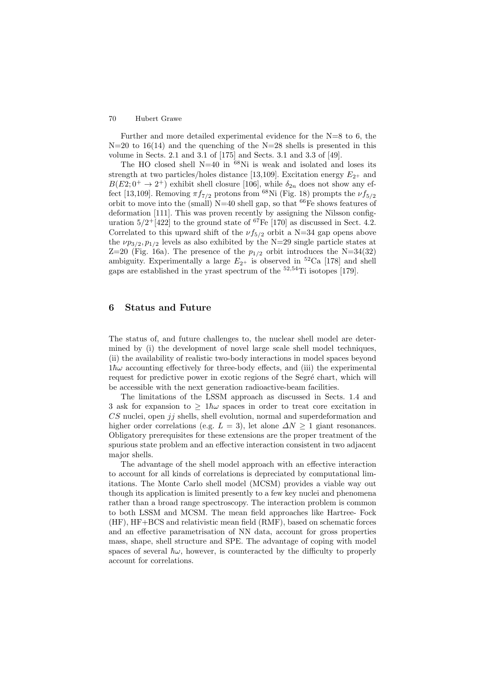Further and more detailed experimental evidence for the N=8 to 6, the  $N=20$  to 16(14) and the quenching of the  $N=28$  shells is presented in this volume in Sects. 2.1 and 3.1 of [175] and Sects. 3.1 and 3.3 of [49].

The HO closed shell  $N=40$  in  ${}^{68}Ni$  is weak and isolated and loses its strength at two particles/holes distance [13,109]. Excitation energy  $E_{2+}$  and  $B(E2; 0^+ \rightarrow 2^+)$  exhibit shell closure [106], while  $\delta_{2n}$  does not show any effect [13,109]. Removing  $\pi f_{7/2}$  protons from <sup>68</sup>Ni (Fig. 18) prompts the  $\nu f_{5/2}$ orbit to move into the (small)  $N=40$  shell gap, so that  $^{66}$ Fe shows features of deformation [111]. This was proven recently by assigning the Nilsson configuration  $5/2^+[422]$  to the ground state of <sup>67</sup>Fe [170] as discussed in Sect. 4.2. Correlated to this upward shift of the  $\nu f_{5/2}$  orbit a N=34 gap opens above the  $\nu p_{3/2}, p_{1/2}$  levels as also exhibited by the N=29 single particle states at Z=20 (Fig. 16a). The presence of the  $p_{1/2}$  orbit introduces the N=34(32) ambiguity. Experimentally a large  $E_{2+}$  is observed in <sup>52</sup>Ca [178] and shell gaps are established in the yrast spectrum of the <sup>52</sup>,<sup>54</sup>Ti isotopes [179].

### **6 Status and Future**

The status of, and future challenges to, the nuclear shell model are determined by (i) the development of novel large scale shell model techniques, (ii) the availability of realistic two-body interactions in model spaces beyond  $1\hbar\omega$  accounting effectively for three-body effects, and (iii) the experimental request for predictive power in exotic regions of the Segré chart, which will be accessible with the next generation radioactive-beam facilities.

The limitations of the LSSM approach as discussed in Sects. 1.4 and 3 ask for expansion to  $\geq 1\hbar\omega$  spaces in order to treat core excitation in CS nuclei, open jj shells, shell evolution, normal and superdeformation and higher order correlations (e.g.  $L = 3$ ), let alone  $\Delta N \ge 1$  giant resonances. Obligatory prerequisites for these extensions are the proper treatment of the spurious state problem and an effective interaction consistent in two adjacent major shells.

The advantage of the shell model approach with an effective interaction to account for all kinds of correlations is depreciated by computational limitations. The Monte Carlo shell model (MCSM) provides a viable way out though its application is limited presently to a few key nuclei and phenomena rather than a broad range spectroscopy. The interaction problem is common to both LSSM and MCSM. The mean field approaches like Hartree- Fock (HF), HF+BCS and relativistic mean field (RMF), based on schematic forces and an effective parametrisation of NN data, account for gross properties mass, shape, shell structure and SPE. The advantage of coping with model spaces of several  $\hbar\omega$ , however, is counteracted by the difficulty to properly account for correlations.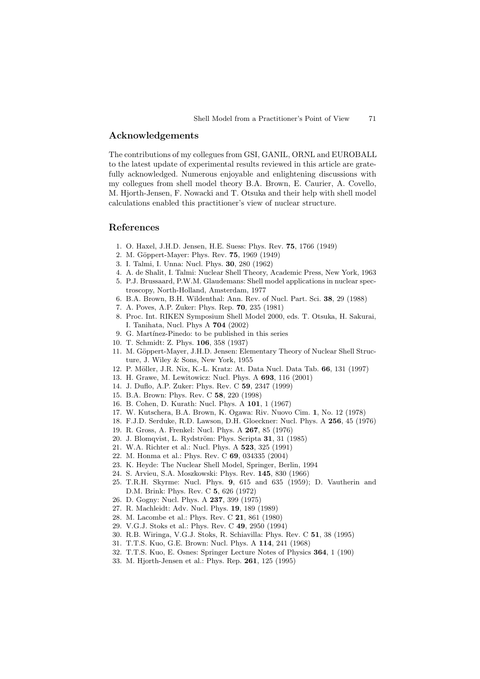### **Acknowledgements**

The contributions of my collegues from GSI, GANIL, ORNL and EUROBALL to the latest update of experimental results reviewed in this article are gratefully acknowledged. Numerous enjoyable and enlightening discussions with my collegues from shell model theory B.A. Brown, E. Caurier, A. Covello, M. Hjorth-Jensen, F. Nowacki and T. Otsuka and their help with shell model calculations enabled this practitioner's view of nuclear structure.

### **References**

- 1. O. Haxel, J.H.D. Jensen, H.E. Suess: Phys. Rev. **75**, 1766 (1949)
- 2. M. G¨oppert-Mayer: Phys. Rev. **75**, 1969 (1949)
- 3. I. Talmi, I. Unna: Nucl. Phys. **30**, 280 (1962)
- 4. A. de Shalit, I. Talmi: Nuclear Shell Theory, Academic Press, New York, 1963
- 5. P.J. Brussaard, P.W.M. Glaudemans: Shell model applications in nuclear spectroscopy, North-Holland, Amsterdam, 1977
- 6. B.A. Brown, B.H. Wildenthal: Ann. Rev. of Nucl. Part. Sci. **38**, 29 (1988)
- 7. A. Poves, A.P. Zuker: Phys. Rep. **70**, 235 (1981)
- 8. Proc. Int. RIKEN Symposium Shell Model 2000, eds. T. Otsuka, H. Sakurai, I. Tanihata, Nucl. Phys A **704** (2002)
- 9. G. Martínez-Pinedo: to be published in this series
- 10. T. Schmidt: Z. Phys. **106**, 358 (1937)
- 11. M. Göppert-Mayer, J.H.D. Jensen: Elementary Theory of Nuclear Shell Structure, J. Wiley & Sons, New York, 1955
- 12. P. M¨oller, J.R. Nix, K.-L. Kratz: At. Data Nucl. Data Tab. **66**, 131 (1997)
- 13. H. Grawe, M. Lewitowicz: Nucl. Phys. A **693**, 116 (2001)
- 14. J. Duflo, A.P. Zuker: Phys. Rev. C **59**, 2347 (1999)
- 15. B.A. Brown: Phys. Rev. C **58**, 220 (1998)
- 16. B. Cohen, D. Kurath: Nucl. Phys. A **101**, 1 (1967)
- 17. W. Kutschera, B.A. Brown, K. Ogawa: Riv. Nuovo Cim. **1**, No. 12 (1978)
- 18. F.J.D. Serduke, R.D. Lawson, D.H. Gloeckner: Nucl. Phys. A **256**, 45 (1976)
- 19. R. Gross, A. Frenkel: Nucl. Phys. A **267**, 85 (1976)
- 20. J. Blomqvist, L. Rydström: Phys. Scripta **31**, 31 (1985)
- 21. W.A. Richter et al.: Nucl. Phys. A **523**, 325 (1991)
- 22. M. Honma et al.: Phys. Rev. C **69**, 034335 (2004)
- 23. K. Heyde: The Nuclear Shell Model, Springer, Berlin, 1994
- 24. S. Arvieu, S.A. Moszkowski: Phys. Rev. **145**, 830 (1966)
- 25. T.R.H. Skyrme: Nucl. Phys. **9**, 615 and 635 (1959); D. Vautherin and D.M. Brink: Phys. Rev. C **5**, 626 (1972)
- 26. D. Gogny: Nucl. Phys. A **237**, 399 (1975)
- 27. R. Machleidt: Adv. Nucl. Phys. **19**, 189 (1989)
- 28. M. Lacombe et al.: Phys. Rev. C **21**, 861 (1980)
- 29. V.G.J. Stoks et al.: Phys. Rev. C **49**, 2950 (1994)
- 30. R.B. Wiringa, V.G.J. Stoks, R. Schiavilla: Phys. Rev. C **51**, 38 (1995)
- 31. T.T.S. Kuo, G.E. Brown: Nucl. Phys. A **114**, 241 (1968)
- 32. T.T.S. Kuo, E. Osnes: Springer Lecture Notes of Physics **364**, 1 (190)
- 33. M. Hjorth-Jensen et al.: Phys. Rep. **261**, 125 (1995)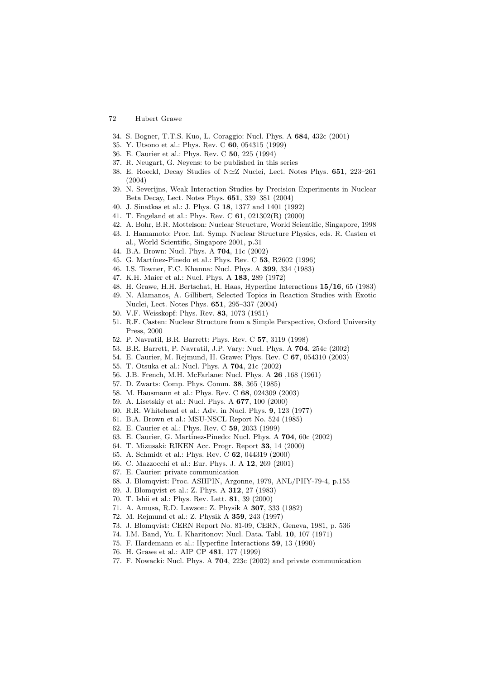- 34. S. Bogner, T.T.S. Kuo, L. Coraggio: Nucl. Phys. A **684**, 432c (2001)
- 35. Y. Utsono et al.: Phys. Rev. C **60**, 054315 (1999)
- 36. E. Caurier et al.: Phys. Rev. C **50**, 225 (1994)
- 37. R. Neugart, G. Neyens: to be published in this series
- 38. E. Roeckl, Decay Studies of NZ Nuclei, Lect. Notes Phys. **651**, 223–261 (2004)
- 39. N. Severijns, Weak Interaction Studies by Precision Experiments in Nuclear Beta Decay, Lect. Notes Phys. **651**, 339–381 (2004)
- 40. J. Sinatkas et al.: J. Phys. G **18**, 1377 and 1401 (1992)
- 41. T. Engeland et al.: Phys. Rev. C **61**, 021302(R) (2000)
- 42. A. Bohr, B.R. Mottelson: Nuclear Structure, World Scientific, Singapore, 1998
- 43. I. Hamamoto: Proc. Int. Symp. Nuclear Structure Physics, eds. R. Casten et al., World Scientific, Singapore 2001, p.31
- 44. B.A. Brown: Nucl. Phys. A **704**, 11c (2002)
- 45. G. Mart´ınez-Pinedo et al.: Phys. Rev. C **53**, R2602 (1996)
- 46. I.S. Towner, F.C. Khanna: Nucl. Phys. A **399**, 334 (1983)
- 47. K.H. Maier et al.: Nucl. Phys. A **183**, 289 (1972)
- 48. H. Grawe, H.H. Bertschat, H. Haas, Hyperfine Interactions **15/16**, 65 (1983)
- 49. N. Alamanos, A. Gillibert, Selected Topics in Reaction Studies with Exotic Nuclei, Lect. Notes Phys. **651**, 295–337 (2004)
- 50. V.F. Weisskopf: Phys. Rev. **83**, 1073 (1951)
- 51. R.F. Casten: Nuclear Structure from a Simple Perspective, Oxford University Press, 2000
- 52. P. Navratil, B.R. Barrett: Phys. Rev. C **57**, 3119 (1998)
- 53. B.R. Barrett, P. Navratil, J.P. Vary: Nucl. Phys. A **704**, 254c (2002)
- 54. E. Caurier, M. Rejmund, H. Grawe: Phys. Rev. C **67**, 054310 (2003)
- 55. T. Otsuka et al.: Nucl. Phys. A **704**, 21c (2002)
- 56. J.B. French, M.H. McFarlane: Nucl. Phys. A **26** ,168 (1961)
- 57. D. Zwarts: Comp. Phys. Comm. **38**, 365 (1985)
- 58. M. Hausmann et al.: Phys. Rev. C **68**, 024309 (2003)
- 59. A. Lisetskiy et al.: Nucl. Phys. A **677**, 100 (2000)
- 60. R.R. Whitehead et al.: Adv. in Nucl. Phys. **9**, 123 (1977)
- 61. B.A. Brown et al.: MSU-NSCL Report No. 524 (1985)
- 62. E. Caurier et al.: Phys. Rev. C **59**, 2033 (1999)
- 63. E. Caurier, G. Mart´inez-Pinedo: Nucl. Phys. A **704**, 60c (2002)
- 64. T. Mizusaki: RIKEN Acc. Progr. Report **33**, 14 (2000)
- 65. A. Schmidt et al.: Phys. Rev. C **62**, 044319 (2000)
- 66. C. Mazzocchi et al.: Eur. Phys. J. A **12**, 269 (2001)
- 67. E. Caurier: private communication
- 68. J. Blomqvist: Proc. ASHPIN, Argonne, 1979, ANL/PHY-79-4, p.155
- 69. J. Blomqvist et al.: Z. Phys. A **312**, 27 (1983)
- 70. T. Ishii et al.: Phys. Rev. Lett. **81**, 39 (2000)
- 71. A. Amusa, R.D. Lawson: Z. Physik A **307**, 333 (1982)
- 72. M. Rejmund et al.: Z. Physik A **359**, 243 (1997)
- 73. J. Blomqvist: CERN Report No. 81-09, CERN, Geneva, 1981, p. 536
- 74. I.M. Band, Yu. I. Kharitonov: Nucl. Data. Tabl. **10**, 107 (1971)
- 75. F. Hardemann et al.: Hyperfine Interactions **59**, 13 (1990)
- 76. H. Grawe et al.: AIP CP **481**, 177 (1999)
- 77. F. Nowacki: Nucl. Phys. A **704**, 223c (2002) and private communication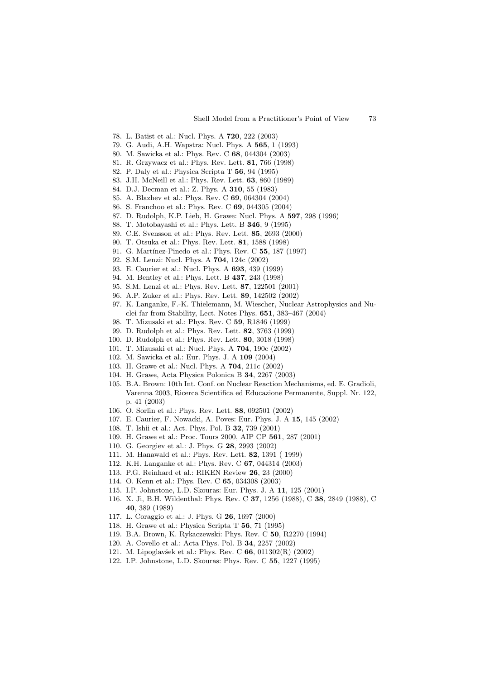- 78. L. Batist et al.: Nucl. Phys. A **720**, 222 (2003)
- 79. G. Audi, A.H. Wapstra: Nucl. Phys. A **565**, 1 (1993)
- 80. M. Sawicka et al.: Phys. Rev. C **68**, 044304 (2003)
- 81. R. Grzywacz et al.: Phys. Rev. Lett. **81**, 766 (1998)
- 82. P. Daly et al.: Physica Scripta T **56**, 94 (1995)
- 83. J.H. McNeill et al.: Phys. Rev. Lett. **63**, 860 (1989)
- 84. D.J. Decman et al.: Z. Phys. A **310**, 55 (1983)
- 85. A. Blazhev et al.: Phys. Rev. C **69**, 064304 (2004)
- 86. S. Franchoo et al.: Phys. Rev. C **69**, 044305 (2004)
- 87. D. Rudolph, K.P. Lieb, H. Grawe: Nucl. Phys. A **597**, 298 (1996)
- 88. T. Motobayashi et al.: Phys. Lett. B **346**, 9 (1995)
- 89. C.E. Svensson et al.: Phys. Rev. Lett. **85**, 2693 (2000)
- 90. T. Otsuka et al.: Phys. Rev. Lett. **81**, 1588 (1998)
- 91. G. Martínez-Pinedo et al.: Phys. Rev. C **55**, 187 (1997)
- 92. S.M. Lenzi: Nucl. Phys. A **704**, 124c (2002)
- 93. E. Caurier et al.: Nucl. Phys. A **693**, 439 (1999)
- 94. M. Bentley et al.: Phys. Lett. B **437**, 243 (1998)
- 95. S.M. Lenzi et al.: Phys. Rev. Lett. **87**, 122501 (2001)
- 96. A.P. Zuker et al.: Phys. Rev. Lett. **89**, 142502 (2002)
- 97. K. Langanke, F.-K. Thielemann, M. Wiescher, Nuclear Astrophysics and Nuclei far from Stability, Lect. Notes Phys. **651**, 383–467 (2004)
- 98. T. Mizusaki et al.: Phys. Rev. C **59**, R1846 (1999)
- 99. D. Rudolph et al.: Phys. Rev. Lett. **82**, 3763 (1999)
- 100. D. Rudolph et al.: Phys. Rev. Lett. **80**, 3018 (1998)
- 101. T. Mizusaki et al.: Nucl. Phys. A **704**, 190c (2002)
- 102. M. Sawicka et al.: Eur. Phys. J. A **109** (2004)
- 103. H. Grawe et al.: Nucl. Phys. A **704**, 211c (2002)
- 104. H. Grawe, Acta Physica Polonica B **34**, 2267 (2003)
- 105. B.A. Brown: 10th Int. Conf. on Nuclear Reaction Mechanisms, ed. E. Gradioli, Varenna 2003, Ricerca Scientifica ed Educazione Permanente, Suppl. Nr. 122, p. 41 (2003)
- 106. O. Sorlin et al.: Phys. Rev. Lett. **88**, 092501 (2002)
- 107. E. Caurier, F. Nowacki, A. Poves: Eur. Phys. J. A **15**, 145 (2002)
- 108. T. Ishii et al.: Act. Phys. Pol. B **32**, 739 (2001)
- 109. H. Grawe et al.: Proc. Tours 2000, AIP CP **561**, 287 (2001)
- 110. G. Georgiev et al.: J. Phys. G **28**, 2993 (2002)
- 111. M. Hanawald et al.: Phys. Rev. Lett. **82**, 1391 ( 1999)
- 112. K.H. Langanke et al.: Phys. Rev. C **67**, 044314 (2003)
- 113. P.G. Reinhard et al.: RIKEN Review **26**, 23 (2000)
- 114. O. Kenn et al.: Phys. Rev. C **65**, 034308 (2003)
- 115. I.P. Johnstone, L.D. Skouras: Eur. Phys. J. A **11**, 125 (2001)
- 116. X. Ji, B.H. Wildenthal: Phys. Rev. C **37**, 1256 (1988), C **38**, 2849 (1988), C **40**, 389 (1989)
- 117. L. Coraggio et al.: J. Phys. G **26**, 1697 (2000)
- 118. H. Grawe et al.: Physica Scripta T **56**, 71 (1995)
- 119. B.A. Brown, K. Rykaczewski: Phys. Rev. C **50**, R2270 (1994)
- 120. A. Covello et al.: Acta Phys. Pol. B **34**, 2257 (2002)
- 121. M. Lipoglavšek et al.: Phys. Rev. C **66**, 011302(R) (2002)
- 122. I.P. Johnstone, L.D. Skouras: Phys. Rev. C **55**, 1227 (1995)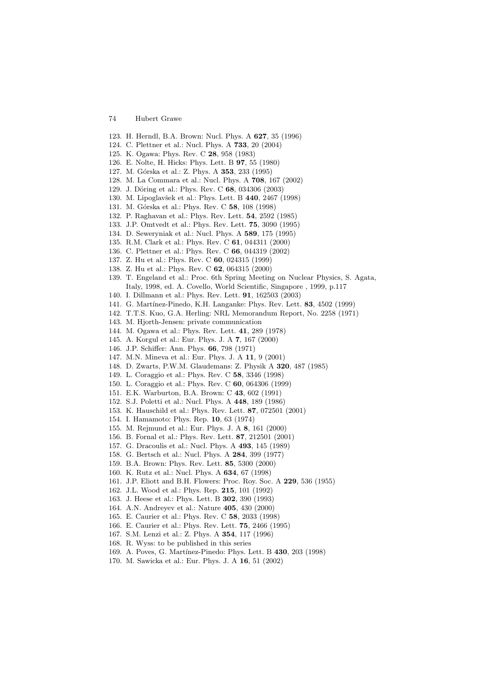- 123. H. Herndl, B.A. Brown: Nucl. Phys. A **627**, 35 (1996)
- 124. C. Plettner et al.: Nucl. Phys. A **733**, 20 (2004)
- 125. K. Ogawa: Phys. Rev. C **28**, 958 (1983)
- 126. E. Nolte, H. Hicks: Phys. Lett. B **97**, 55 (1980)
- 127. M. G´orska et al.: Z. Phys. A **353**, 233 (1995)
- 128. M. La Commara et al.: Nucl. Phys. A **708**, 167 (2002)
- 129. J. Döring et al.: Phys. Rev. C **68**, 034306 (2003)
- 130. M. Lipoglavšek et al.: Phys. Lett. B 440, 2467 (1998)
- 131. M. G´orska et al.: Phys. Rev. C **58**, 108 (1998)
- 132. P. Raghavan et al.: Phys. Rev. Lett. **54**, 2592 (1985)
- 133. J.P. Omtvedt et al.: Phys. Rev. Lett. **75**, 3090 (1995)
- 134. D. Seweryniak et al.: Nucl. Phys. A **589**, 175 (1995)
- 135. R.M. Clark et al.: Phys. Rev. C **61**, 044311 (2000)
- 136. C. Plettner et al.: Phys. Rev. C **66**, 044319 (2002)
- 137. Z. Hu et al.: Phys. Rev. C **60**, 024315 (1999)
- 138. Z. Hu et al.: Phys. Rev. C **62**, 064315 (2000)
- 139. T. Engeland et al.: Proc. 6th Spring Meeting on Nuclear Physics, S. Agata, Italy, 1998, ed. A. Covello, World Scientific, Singapore , 1999, p.117
- 140. I. Dillmann et al.: Phys. Rev. Lett. **91**, 162503 (2003)
- 141. G. Martínez-Pinedo, K.H. Langanke: Phys. Rev. Lett. **83**, 4502 (1999)
- 142. T.T.S. Kuo, G.A. Herling: NRL Memorandum Report, No. 2258 (1971)
- 143. M. Hjorth-Jensen: private communication
- 144. M. Ogawa et al.: Phys. Rev. Lett. **41**, 289 (1978)
- 145. A. Korgul et al.: Eur. Phys. J. A **7**, 167 (2000)
- 146. J.P. Schiffer: Ann. Phys. **66**, 798 (1971)
- 147. M.N. Mineva et al.: Eur. Phys. J. A **11**, 9 (2001)
- 148. D. Zwarts, P.W.M. Glaudemans: Z. Physik A **320**, 487 (1985)
- 149. L. Coraggio et al.: Phys. Rev. C **58**, 3346 (1998)
- 150. L. Coraggio et al.: Phys. Rev. C **60**, 064306 (1999)
- 151. E.K. Warburton, B.A. Brown: C **43**, 602 (1991)
- 152. S.J. Poletti et al.: Nucl. Phys. A **448**, 189 (1986)
- 153. K. Hauschild et al.: Phys. Rev. Lett. **87**, 072501 (2001)
- 154. I. Hamamoto: Phys. Rep. **10**, 63 (1974)
- 155. M. Rejmund et al.: Eur. Phys. J. A **8**, 161 (2000)
- 156. B. Fornal et al.: Phys. Rev. Lett. **87**, 212501 (2001)
- 157. G. Dracoulis et al.: Nucl. Phys. A **493**, 145 (1989)
- 158. G. Bertsch et al.: Nucl. Phys. A **284**, 399 (1977)
- 159. B.A. Brown: Phys. Rev. Lett. **85**, 5300 (2000)
- 160. K. Rutz et al.: Nucl. Phys. A **634**, 67 (1998)
- 161. J.P. Eliott and B.H. Flowers: Proc. Roy. Soc. A **229**, 536 (1955)
- 162. J.L. Wood et al.: Phys. Rep. **215**, 101 (1992)
- 163. J. Heese et al.: Phys. Lett. B **302**, 390 (1993)
- 164. A.N. Andreyev et al.: Nature **405**, 430 (2000)
- 165. E. Caurier et al.: Phys. Rev. C **58**, 2033 (1998)
- 166. E. Caurier et al.: Phys. Rev. Lett. **75**, 2466 (1995)
- 167. S.M. Lenzi et al.: Z. Phys. A **354**, 117 (1996)
- 168. R. Wyss: to be published in this series
- 169. A. Poves, G. Mart´ınez-Pinedo: Phys. Lett. B **430**, 203 (1998)
- 170. M. Sawicka et al.: Eur. Phys. J. A **16**, 51 (2002)